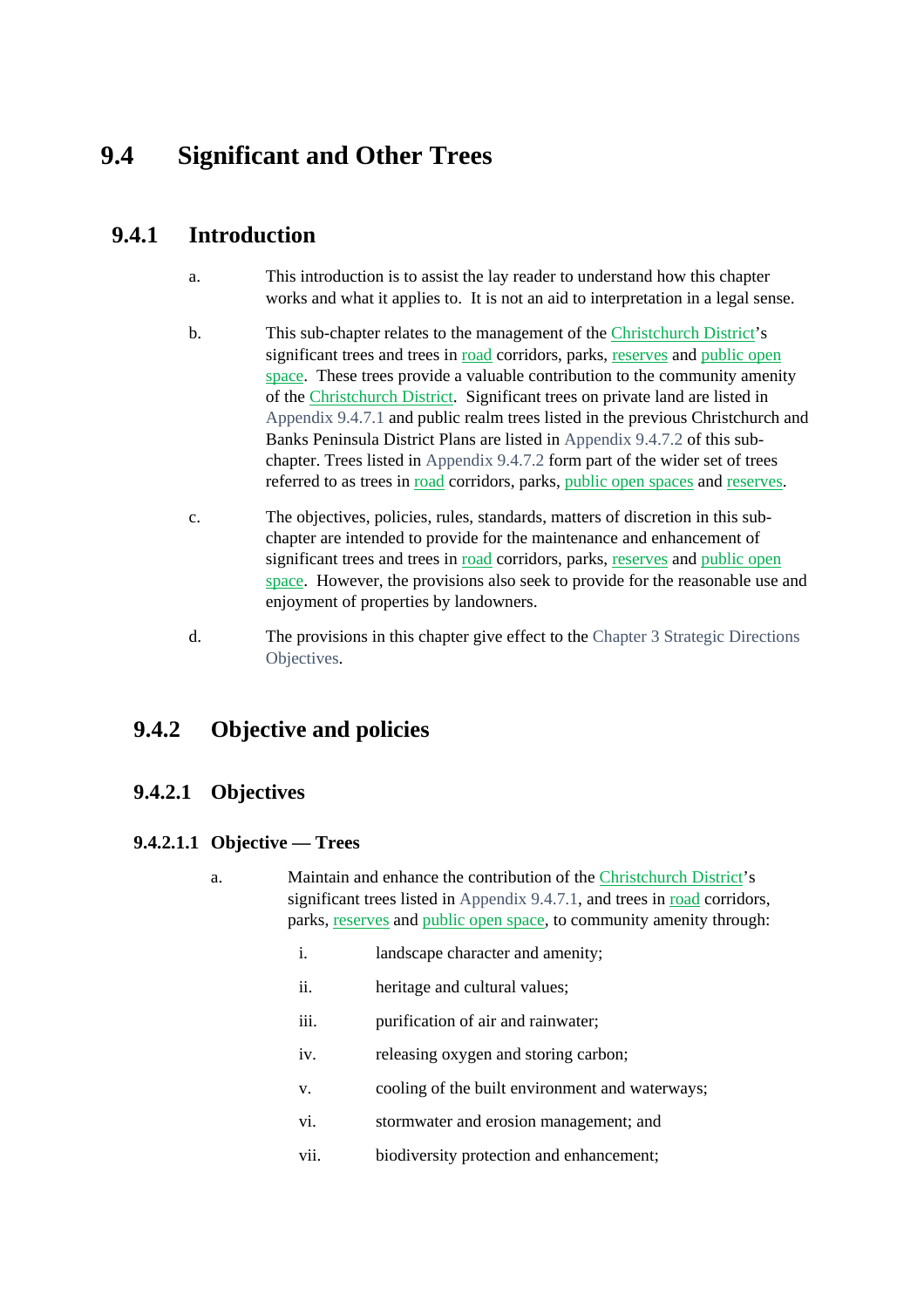# **9.4 Significant and Other Trees**

# **9.4.1 Introduction**

- a. This introduction is to assist the lay reader to understand how this chapter works and what it applies to. It is not an aid to interpretation in a legal sense.
- b. This sub-chapter relates to the management of the Christchurch District's significant trees and trees in road corridors, parks, reserves and public open space. These trees provide a valuable contribution to the community amenity of the Christchurch District. Significant trees on private land are listed in Appendix 9.4.7.1 and public realm trees listed in the previous Christchurch and Banks Peninsula District Plans are listed in Appendix 9.4.7.2 of this subchapter. Trees listed in Appendix 9.4.7.2 form part of the wider set of trees referred to as trees in road corridors, parks, public open spaces and reserves.
- c. The objectives, policies, rules, standards, matters of discretion in this subchapter are intended to provide for the maintenance and enhancement of significant trees and trees in road corridors, parks, reserves and public open space. However, the provisions also seek to provide for the reasonable use and enjoyment of properties by landowners.
- d. The provisions in this chapter give effect to the Chapter 3 Strategic Directions Objectives.

# **9.4.2 Objective and policies**

# **9.4.2.1 Objectives**

# **9.4.2.1.1 Objective — Trees**

- a. Maintain and enhance the contribution of the Christchurch District's significant trees listed in Appendix 9.4.7.1, and trees in road corridors, parks, reserves and public open space, to community amenity through:
	- i. landscape character and amenity;
	- ii. heritage and cultural values;
	- iii. purification of air and rainwater;
	- iv. releasing oxygen and storing carbon;
	- v. cooling of the built environment and waterways;
	- vi. stormwater and erosion management; and
	- vii. biodiversity protection and enhancement;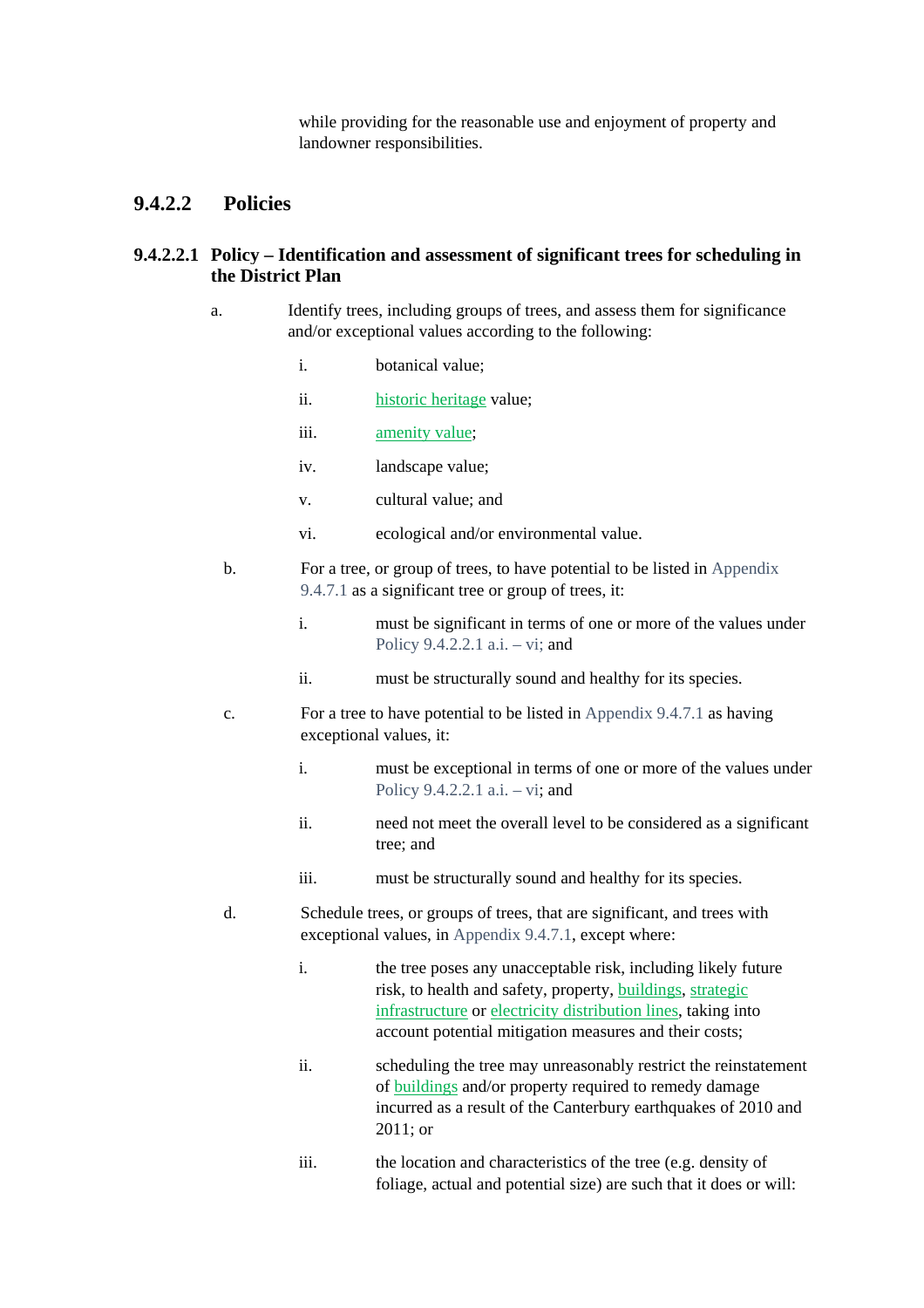while providing for the reasonable use and enjoyment of property and landowner responsibilities.

# **9.4.2.2 Policies**

#### **9.4.2.2.1 Policy – Identification and assessment of significant trees for scheduling in the District Plan**

- a. Identify trees, including groups of trees, and assess them for significance and/or exceptional values according to the following:
	- i. botanical value;
	- ii. historic heritage value;
	- iii. amenity value;
	- iv. landscape value;
	- v. cultural value; and
	- vi. ecological and/or environmental value.
	- b. For a tree, or group of trees, to have potential to be listed in Appendix 9.4.7.1 as a significant tree or group of trees, it:
		- i. must be significant in terms of one or more of the values under Policy 9.4.2.2.1 a.i. – vi; and
		- ii. must be structurally sound and healthy for its species.
	- c. For a tree to have potential to be listed in Appendix 9.4.7.1 as having exceptional values, it:
		- i. must be exceptional in terms of one or more of the values under Policy 9.4.2.2.1 a.i. – vi; and
		- ii. need not meet the overall level to be considered as a significant tree; and
		- iii. must be structurally sound and healthy for its species.
	- d. Schedule trees, or groups of trees, that are significant, and trees with exceptional values, in Appendix 9.4.7.1, except where:
		- i. the tree poses any unacceptable risk, including likely future risk, to health and safety, property, buildings, strategic infrastructure or electricity distribution lines, taking into account potential mitigation measures and their costs;
		- ii. scheduling the tree may unreasonably restrict the reinstatement of buildings and/or property required to remedy damage incurred as a result of the Canterbury earthquakes of 2010 and 2011; or
		- iii. the location and characteristics of the tree (e.g. density of foliage, actual and potential size) are such that it does or will: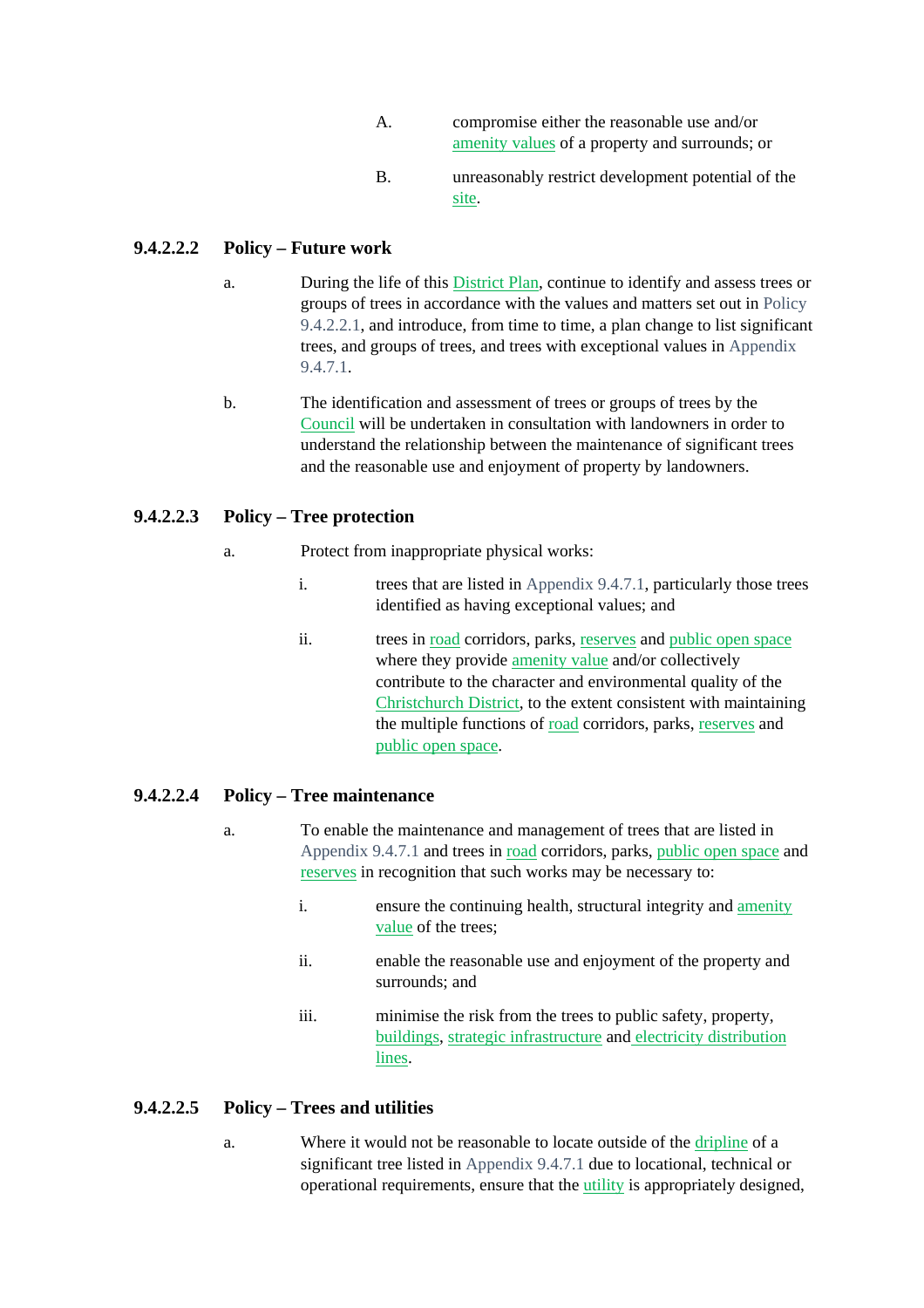- A. compromise either the reasonable use and/or amenity values of a property and surrounds; or
- B. unreasonably restrict development potential of the site.

# **9.4.2.2.2 Policy – Future work**

- a. During the life of this District Plan, continue to identify and assess trees or groups of trees in accordance with the values and matters set out in Policy 9.4.2.2.1, and introduce, from time to time, a plan change to list significant trees, and groups of trees, and trees with exceptional values in Appendix 9.4.7.1.
- b. The identification and assessment of trees or groups of trees by the Council will be undertaken in consultation with landowners in order to understand the relationship between the maintenance of significant trees and the reasonable use and enjoyment of property by landowners.

# **9.4.2.2.3 Policy – Tree protection**

- a. Protect from inappropriate physical works:
	- i. trees that are listed in Appendix 9.4.7.1, particularly those trees identified as having exceptional values; and
	- ii. trees in road corridors, parks, reserves and public open space where they provide amenity value and/or collectively contribute to the character and environmental quality of the Christchurch District, to the extent consistent with maintaining the multiple functions of road corridors, parks, reserves and public open space.

# **9.4.2.2.4 Policy – Tree maintenance**

- a. To enable the maintenance and management of trees that are listed in Appendix 9.4.7.1 and trees in road corridors, parks, public open space and reserves in recognition that such works may be necessary to:
	- i. ensure the continuing health, structural integrity and amenity value of the trees;
	- ii. enable the reasonable use and enjoyment of the property and surrounds; and
	- iii. minimise the risk from the trees to public safety, property, buildings, strategic infrastructure and electricity distribution lines.

### **9.4.2.2.5 Policy – Trees and utilities**

a. Where it would not be reasonable to locate outside of the dripline of a significant tree listed in Appendix 9.4.7.1 due to locational, technical or operational requirements, ensure that the utility is appropriately designed,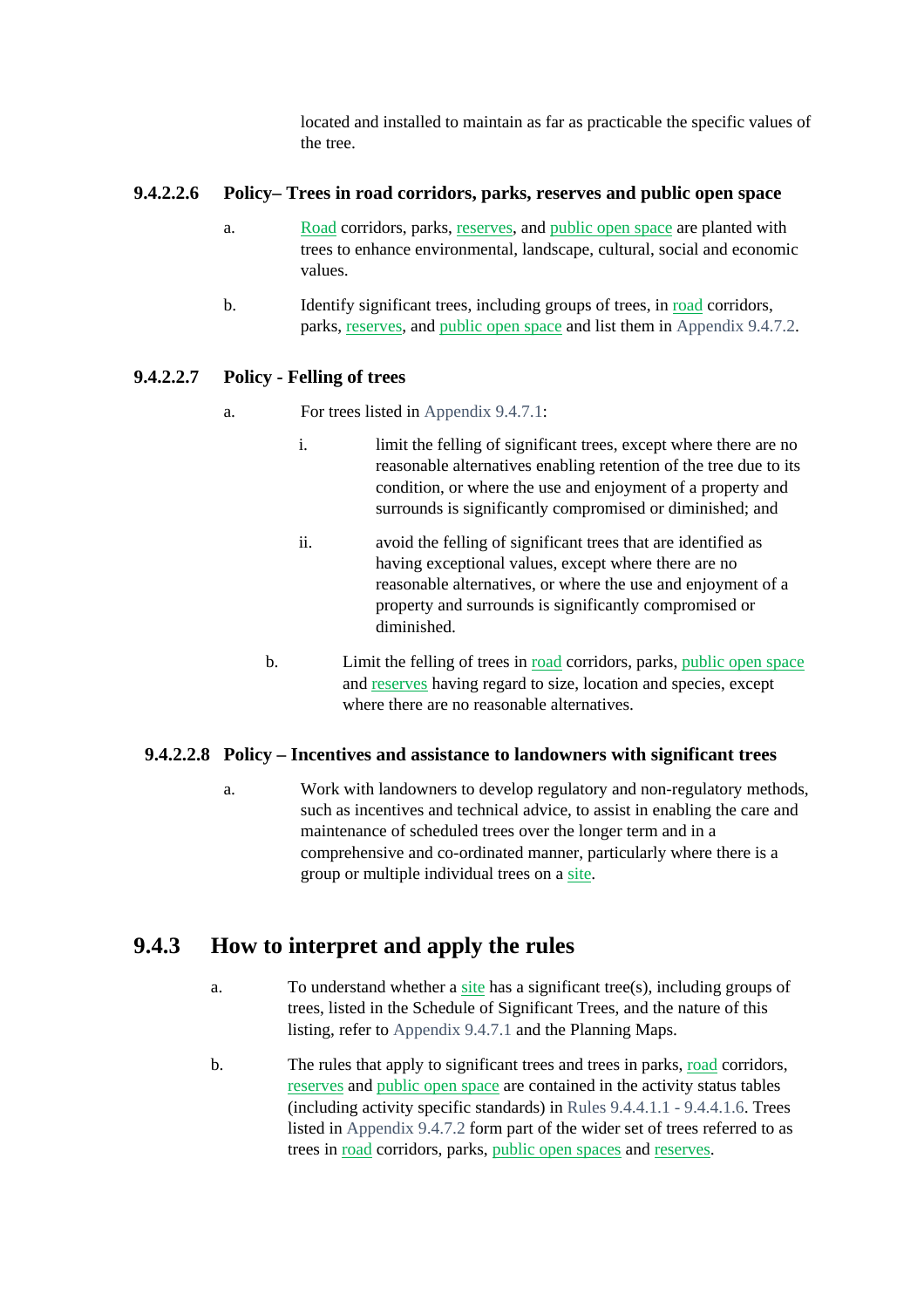located and installed to maintain as far as practicable the specific values of the tree.

#### **9.4.2.2.6 Policy– Trees in road corridors, parks, reserves and public open space**

- a. Road corridors, parks, reserves, and public open space are planted with trees to enhance environmental, landscape, cultural, social and economic values.
- b. Identify significant trees, including groups of trees, in road corridors, parks, reserves, and public open space and list them in Appendix 9.4.7.2.

### **9.4.2.2.7 Policy - Felling of trees**

- a. For trees listed in Appendix 9.4.7.1:
	- i. limit the felling of significant trees, except where there are no reasonable alternatives enabling retention of the tree due to its condition, or where the use and enjoyment of a property and surrounds is significantly compromised or diminished; and
	- ii. avoid the felling of significant trees that are identified as having exceptional values, except where there are no reasonable alternatives, or where the use and enjoyment of a property and surrounds is significantly compromised or diminished.
	- b. Limit the felling of trees in road corridors, parks, public open space and reserves having regard to size, location and species, except where there are no reasonable alternatives.

### **9.4.2.2.8 Policy – Incentives and assistance to landowners with significant trees**

a. Work with landowners to develop regulatory and non-regulatory methods, such as incentives and technical advice, to assist in enabling the care and maintenance of scheduled trees over the longer term and in a comprehensive and co-ordinated manner, particularly where there is a group or multiple individual trees on a site.

# **9.4.3 How to interpret and apply the rules**

- a. To understand whether a site has a significant tree(s), including groups of trees, listed in the Schedule of Significant Trees, and the nature of this listing, refer to Appendix 9.4.7.1 and the Planning Maps.
- b. The rules that apply to significant trees and trees in parks, road corridors, reserves and public open space are contained in the activity status tables (including activity specific standards) in Rules 9.4.4.1.1 - 9.4.4.1.6. Trees listed in Appendix 9.4.7.2 form part of the wider set of trees referred to as trees in road corridors, parks, public open spaces and reserves.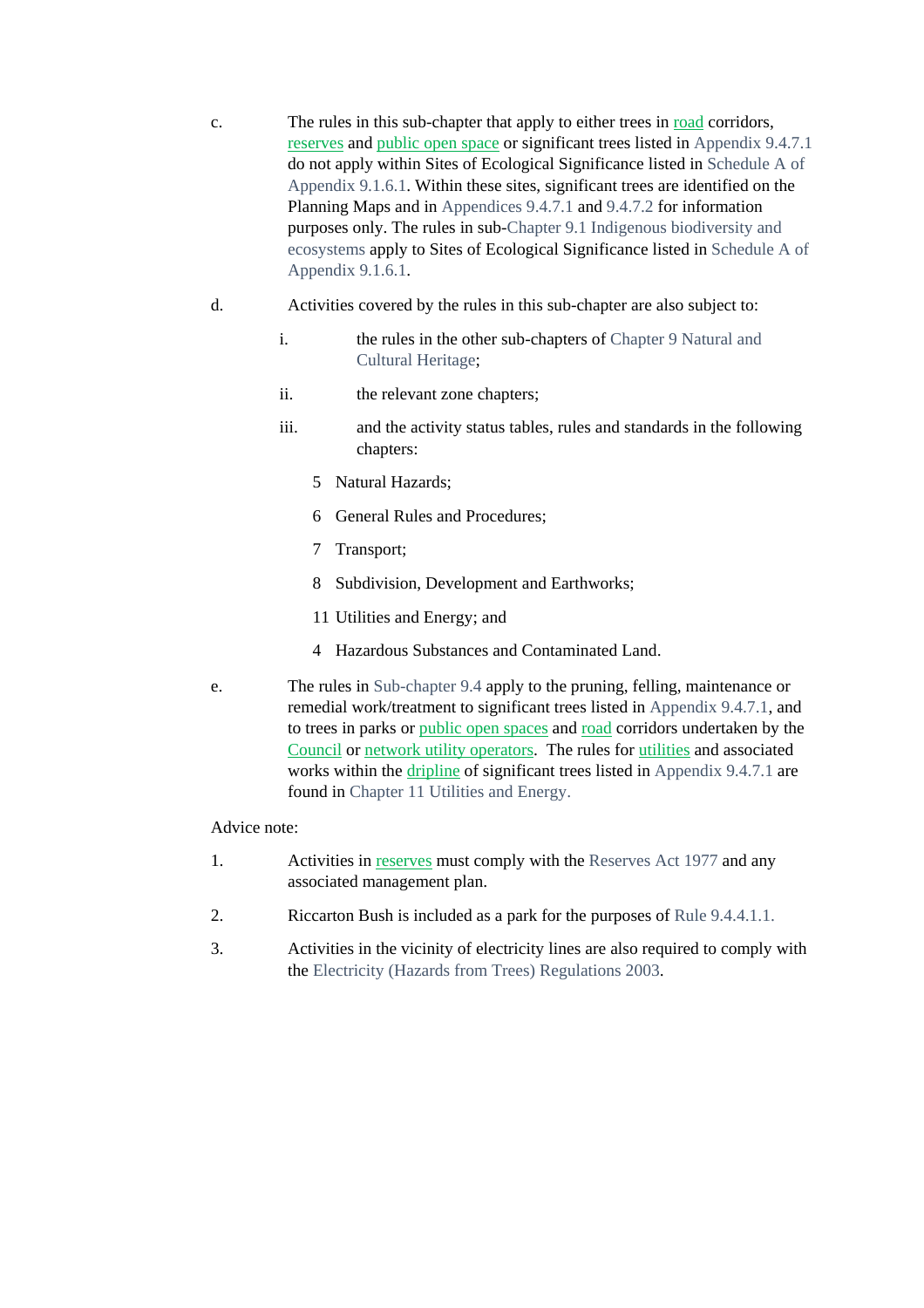- c. The rules in this sub-chapter that apply to either trees in road corridors, reserves and public open space or significant trees listed in Appendix 9.4.7.1 do not apply within Sites of Ecological Significance listed in Schedule A of Appendix 9.1.6.1. Within these sites, significant trees are identified on the Planning Maps and in Appendices 9.4.7.1 and 9.4.7.2 for information purposes only. The rules in sub-Chapter 9.1 Indigenous biodiversity and ecosystems apply to Sites of Ecological Significance listed in Schedule A of Appendix 9.1.6.1.
- d. Activities covered by the rules in this sub-chapter are also subject to:
	- i. the rules in the other sub-chapters of Chapter 9 Natural and Cultural Heritage;
	- ii. the relevant zone chapters;
	- iii. and the activity status tables, rules and standards in the following chapters:
		- 5 Natural Hazards;
		- 6 General Rules and Procedures;
		- 7 Transport;
		- 8 Subdivision, Development and Earthworks;
		- 11 Utilities and Energy; and
		- 4 Hazardous Substances and Contaminated Land.
- e. The rules in Sub-chapter 9.4 apply to the pruning, felling, maintenance or remedial work/treatment to significant trees listed in Appendix 9.4.7.1, and to trees in parks or public open spaces and road corridors undertaken by the Council or network utility operators. The rules for utilities and associated works within the dripline of significant trees listed in Appendix 9.4.7.1 are found in Chapter 11 Utilities and Energy.

#### Advice note:

- 1. Activities in reserves must comply with the Reserves Act 1977 and any associated management plan.
- 2. Riccarton Bush is included as a park for the purposes of Rule 9.4.4.1.1.
- 3. Activities in the vicinity of electricity lines are also required to comply with the Electricity (Hazards from Trees) Regulations 2003.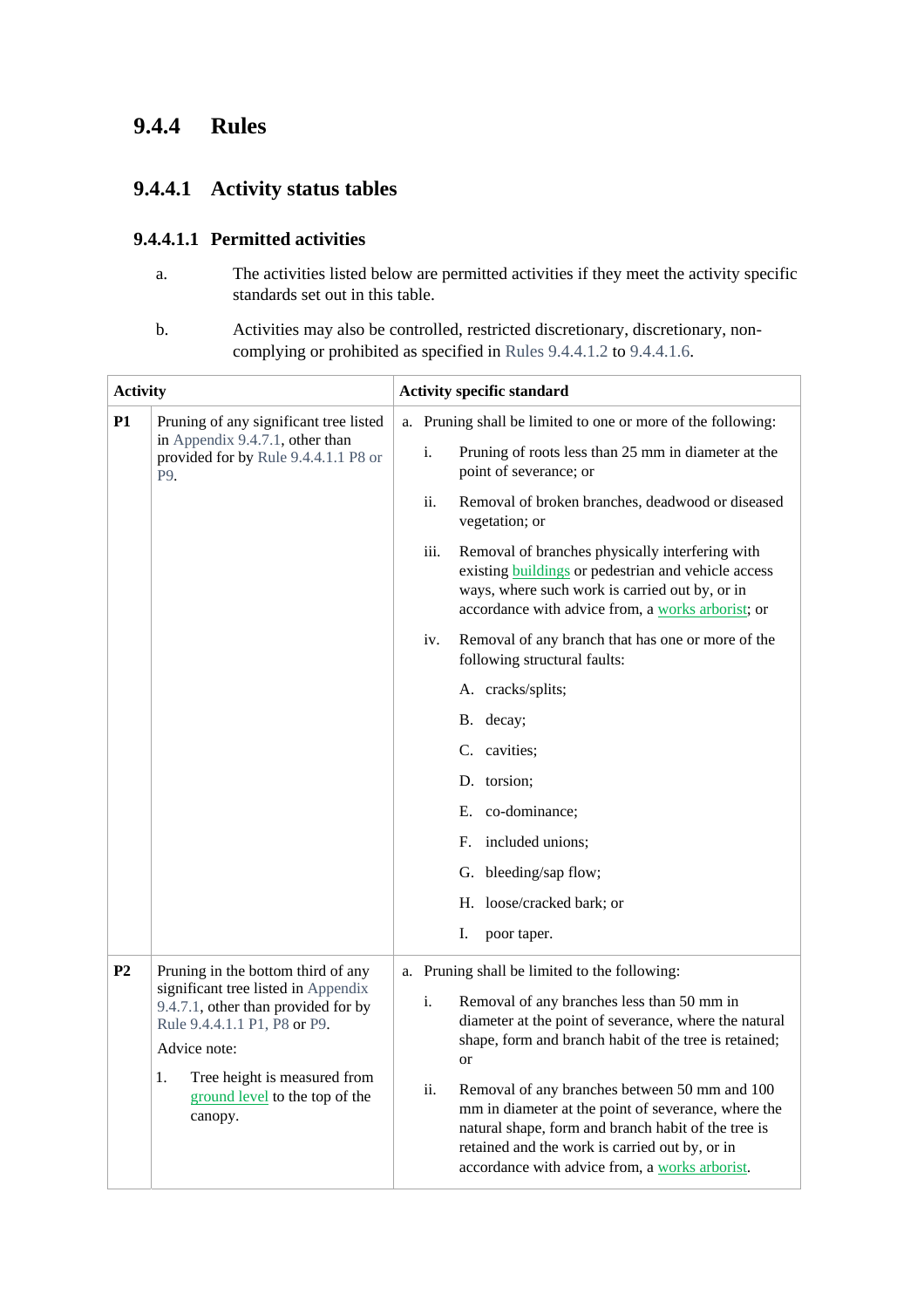# **9.4.4 Rules**

# **9.4.4.1 Activity status tables**

## **9.4.4.1.1 Permitted activities**

- a. The activities listed below are permitted activities if they meet the activity specific standards set out in this table.
- b. Activities may also be controlled, restricted discretionary, discretionary, noncomplying or prohibited as specified in Rules 9.4.4.1.2 to 9.4.4.1.6.

| <b>Activity</b> |                                                                                                                                                                                                                                                     | <b>Activity specific standard</b> |                                                                                                                                                                                                                                                                                                                                                                                                                                                                                                   |  |
|-----------------|-----------------------------------------------------------------------------------------------------------------------------------------------------------------------------------------------------------------------------------------------------|-----------------------------------|---------------------------------------------------------------------------------------------------------------------------------------------------------------------------------------------------------------------------------------------------------------------------------------------------------------------------------------------------------------------------------------------------------------------------------------------------------------------------------------------------|--|
| <b>P1</b>       | Pruning of any significant tree listed<br>in Appendix 9.4.7.1, other than<br>provided for by Rule 9.4.4.1.1 P8 or<br>P9.                                                                                                                            | i.                                | a. Pruning shall be limited to one or more of the following:<br>Pruning of roots less than 25 mm in diameter at the<br>point of severance; or                                                                                                                                                                                                                                                                                                                                                     |  |
|                 |                                                                                                                                                                                                                                                     | ii.                               | Removal of broken branches, deadwood or diseased<br>vegetation; or                                                                                                                                                                                                                                                                                                                                                                                                                                |  |
|                 |                                                                                                                                                                                                                                                     | iii.                              | Removal of branches physically interfering with<br>existing <b>buildings</b> or pedestrian and vehicle access<br>ways, where such work is carried out by, or in<br>accordance with advice from, a works arborist; or                                                                                                                                                                                                                                                                              |  |
|                 |                                                                                                                                                                                                                                                     | iv.                               | Removal of any branch that has one or more of the<br>following structural faults:                                                                                                                                                                                                                                                                                                                                                                                                                 |  |
|                 |                                                                                                                                                                                                                                                     |                                   | A. cracks/splits;                                                                                                                                                                                                                                                                                                                                                                                                                                                                                 |  |
|                 |                                                                                                                                                                                                                                                     |                                   | B. decay;                                                                                                                                                                                                                                                                                                                                                                                                                                                                                         |  |
|                 |                                                                                                                                                                                                                                                     |                                   | C. cavities;                                                                                                                                                                                                                                                                                                                                                                                                                                                                                      |  |
|                 |                                                                                                                                                                                                                                                     |                                   | D. torsion;                                                                                                                                                                                                                                                                                                                                                                                                                                                                                       |  |
|                 |                                                                                                                                                                                                                                                     |                                   | E. co-dominance;                                                                                                                                                                                                                                                                                                                                                                                                                                                                                  |  |
|                 |                                                                                                                                                                                                                                                     |                                   | included unions;<br>F.                                                                                                                                                                                                                                                                                                                                                                                                                                                                            |  |
|                 |                                                                                                                                                                                                                                                     |                                   | G. bleeding/sap flow;                                                                                                                                                                                                                                                                                                                                                                                                                                                                             |  |
|                 |                                                                                                                                                                                                                                                     |                                   | H. loose/cracked bark; or                                                                                                                                                                                                                                                                                                                                                                                                                                                                         |  |
|                 |                                                                                                                                                                                                                                                     |                                   | I.<br>poor taper.                                                                                                                                                                                                                                                                                                                                                                                                                                                                                 |  |
| P <sub>2</sub>  | Pruning in the bottom third of any<br>significant tree listed in Appendix<br>9.4.7.1, other than provided for by<br>Rule 9.4.4.1.1 P1, P8 or P9.<br>Advice note:<br>Tree height is measured from<br>1.<br>ground level to the top of the<br>canopy. | i.<br>ii.                         | a. Pruning shall be limited to the following:<br>Removal of any branches less than 50 mm in<br>diameter at the point of severance, where the natural<br>shape, form and branch habit of the tree is retained;<br><sub>or</sub><br>Removal of any branches between 50 mm and 100<br>mm in diameter at the point of severance, where the<br>natural shape, form and branch habit of the tree is<br>retained and the work is carried out by, or in<br>accordance with advice from, a works arborist. |  |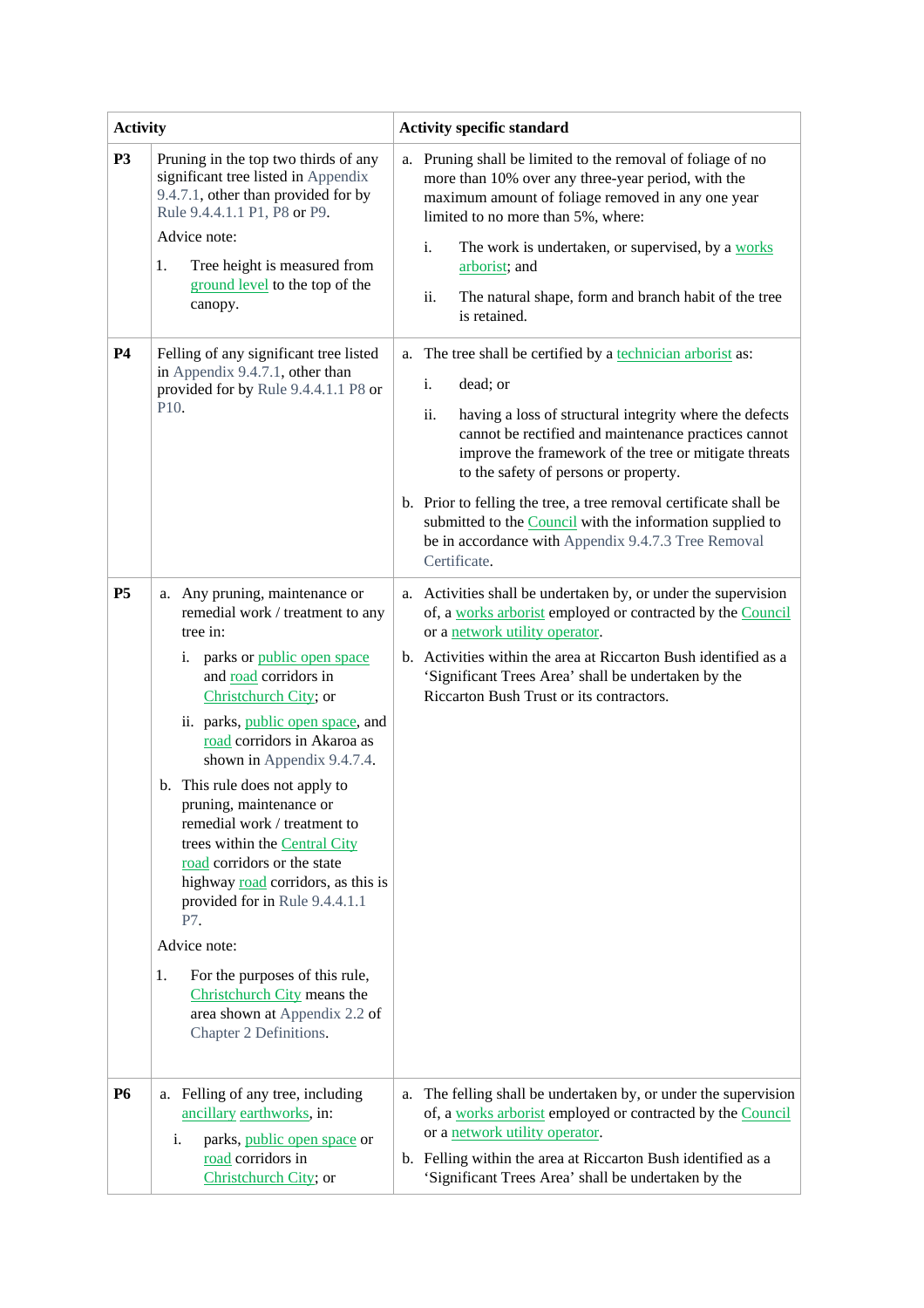| <b>Activity</b> |                                                                                                                                                                                                                                                                                                                                                                                                                                                                                                                                                                                                                                                                      | <b>Activity specific standard</b>                                                                                                                                                                                                                                                                                                                                                                                                                                                                                         |  |  |
|-----------------|----------------------------------------------------------------------------------------------------------------------------------------------------------------------------------------------------------------------------------------------------------------------------------------------------------------------------------------------------------------------------------------------------------------------------------------------------------------------------------------------------------------------------------------------------------------------------------------------------------------------------------------------------------------------|---------------------------------------------------------------------------------------------------------------------------------------------------------------------------------------------------------------------------------------------------------------------------------------------------------------------------------------------------------------------------------------------------------------------------------------------------------------------------------------------------------------------------|--|--|
| <b>P3</b>       | Pruning in the top two thirds of any<br>significant tree listed in Appendix<br>9.4.7.1, other than provided for by<br>Rule 9.4.4.1.1 P1, P8 or P9.<br>Advice note:<br>1.<br>Tree height is measured from<br>ground level to the top of the<br>canopy.                                                                                                                                                                                                                                                                                                                                                                                                                | a. Pruning shall be limited to the removal of foliage of no<br>more than 10% over any three-year period, with the<br>maximum amount of foliage removed in any one year<br>limited to no more than 5%, where:<br>i.<br>The work is undertaken, or supervised, by a works<br>arborist; and<br>ii.<br>The natural shape, form and branch habit of the tree<br>is retained.                                                                                                                                                   |  |  |
| <b>P4</b>       | Felling of any significant tree listed<br>in Appendix 9.4.7.1, other than<br>provided for by Rule 9.4.4.1.1 P8 or<br>P10.                                                                                                                                                                                                                                                                                                                                                                                                                                                                                                                                            | a. The tree shall be certified by a technician arborist as:<br>i.<br>dead; or<br>having a loss of structural integrity where the defects<br>ii.<br>cannot be rectified and maintenance practices cannot<br>improve the framework of the tree or mitigate threats<br>to the safety of persons or property.<br>b. Prior to felling the tree, a tree removal certificate shall be<br>submitted to the <b>Council</b> with the information supplied to<br>be in accordance with Appendix 9.4.7.3 Tree Removal<br>Certificate. |  |  |
| P <sub>5</sub>  | a. Any pruning, maintenance or<br>remedial work / treatment to any<br>tree in:<br>parks or public open space<br>i.<br>and road corridors in<br>Christchurch City; or<br>ii. parks, public open space, and<br>road corridors in Akaroa as<br>shown in Appendix 9.4.7.4.<br>b. This rule does not apply to<br>pruning, maintenance or<br>remedial work / treatment to<br>trees within the Central City<br>road corridors or the state<br>highway road corridors, as this is<br>provided for in Rule 9.4.4.1.1<br>P7.<br>Advice note:<br>For the purposes of this rule,<br>1.<br>Christchurch City means the<br>area shown at Appendix 2.2 of<br>Chapter 2 Definitions. | a. Activities shall be undertaken by, or under the supervision<br>of, a works arborist employed or contracted by the Council<br>or a network utility operator.<br>b. Activities within the area at Riccarton Bush identified as a<br>'Significant Trees Area' shall be undertaken by the<br>Riccarton Bush Trust or its contractors.                                                                                                                                                                                      |  |  |
| <b>P6</b>       | a. Felling of any tree, including<br>ancillary earthworks, in:<br>i.<br>parks, public open space or<br>road corridors in<br>Christchurch City; or                                                                                                                                                                                                                                                                                                                                                                                                                                                                                                                    | a. The felling shall be undertaken by, or under the supervision<br>of, a works arborist employed or contracted by the Council<br>or a network utility operator.<br>b. Felling within the area at Riccarton Bush identified as a<br>'Significant Trees Area' shall be undertaken by the                                                                                                                                                                                                                                    |  |  |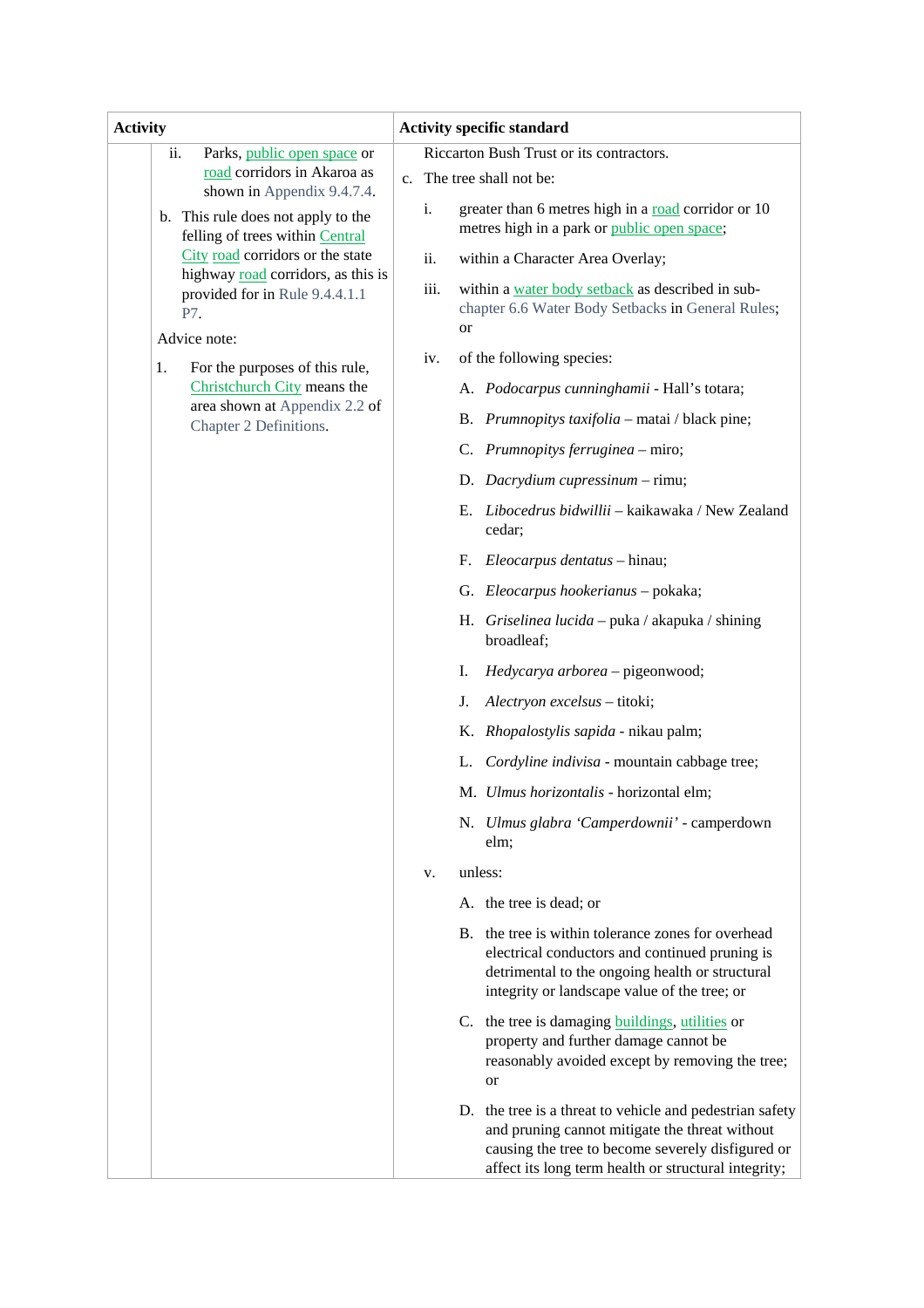| <b>Activity</b>                                                             | <b>Activity specific standard</b>                                                                                                                                                                                       |  |  |
|-----------------------------------------------------------------------------|-------------------------------------------------------------------------------------------------------------------------------------------------------------------------------------------------------------------------|--|--|
| Parks, public open space or<br>ii.                                          | Riccarton Bush Trust or its contractors.                                                                                                                                                                                |  |  |
| road corridors in Akaroa as<br>shown in Appendix 9.4.7.4.                   | c. The tree shall not be:                                                                                                                                                                                               |  |  |
| b. This rule does not apply to the<br>felling of trees within Central       | greater than 6 metres high in a road corridor or 10<br>i.<br>metres high in a park or public open space;                                                                                                                |  |  |
| City road corridors or the state                                            | ii.<br>within a Character Area Overlay;                                                                                                                                                                                 |  |  |
| highway road corridors, as this is<br>provided for in Rule 9.4.4.1.1<br>P7. | within a water body setback as described in sub-<br>iii.<br>chapter 6.6 Water Body Setbacks in General Rules;<br>or                                                                                                     |  |  |
| Advice note:                                                                |                                                                                                                                                                                                                         |  |  |
| For the purposes of this rule,<br>1.                                        | of the following species:<br>iv.                                                                                                                                                                                        |  |  |
| Christchurch City means the<br>area shown at Appendix 2.2 of                | A. Podocarpus cunninghamii - Hall's totara;                                                                                                                                                                             |  |  |
| Chapter 2 Definitions.                                                      | B. Prumnopitys taxifolia - matai / black pine;                                                                                                                                                                          |  |  |
|                                                                             | C. Prumnopitys ferruginea - miro;                                                                                                                                                                                       |  |  |
|                                                                             | D. Dacrydium cupressinum - rimu;                                                                                                                                                                                        |  |  |
|                                                                             | E. Libocedrus bidwillii - kaikawaka / New Zealand<br>cedar;                                                                                                                                                             |  |  |
|                                                                             | Eleocarpus dentatus - hinau;<br>F.                                                                                                                                                                                      |  |  |
|                                                                             | G. Eleocarpus hookerianus - pokaka;                                                                                                                                                                                     |  |  |
|                                                                             | H. Griselinea lucida – puka / akapuka / shining<br>broadleaf;                                                                                                                                                           |  |  |
|                                                                             | Hedycarya arborea - pigeonwood;<br>Ι.                                                                                                                                                                                   |  |  |
|                                                                             | Alectryon excelsus - titoki;<br>J.                                                                                                                                                                                      |  |  |
|                                                                             | K. Rhopalostylis sapida - nikau palm;                                                                                                                                                                                   |  |  |
|                                                                             | Cordyline indivisa - mountain cabbage tree;<br>L.                                                                                                                                                                       |  |  |
|                                                                             | M. Ulmus horizontalis - horizontal elm;                                                                                                                                                                                 |  |  |
|                                                                             | N. Ulmus glabra 'Camperdownii' - camperdown<br>elm;                                                                                                                                                                     |  |  |
|                                                                             | unless:<br>V.                                                                                                                                                                                                           |  |  |
|                                                                             | A. the tree is dead; or                                                                                                                                                                                                 |  |  |
|                                                                             | B. the tree is within tolerance zones for overhead<br>electrical conductors and continued pruning is<br>detrimental to the ongoing health or structural<br>integrity or landscape value of the tree; or                 |  |  |
|                                                                             | C. the tree is damaging <b>buildings</b> , utilities or<br>property and further damage cannot be<br>reasonably avoided except by removing the tree;<br>or                                                               |  |  |
|                                                                             | D. the tree is a threat to vehicle and pedestrian safety<br>and pruning cannot mitigate the threat without<br>causing the tree to become severely disfigured or<br>affect its long term health or structural integrity; |  |  |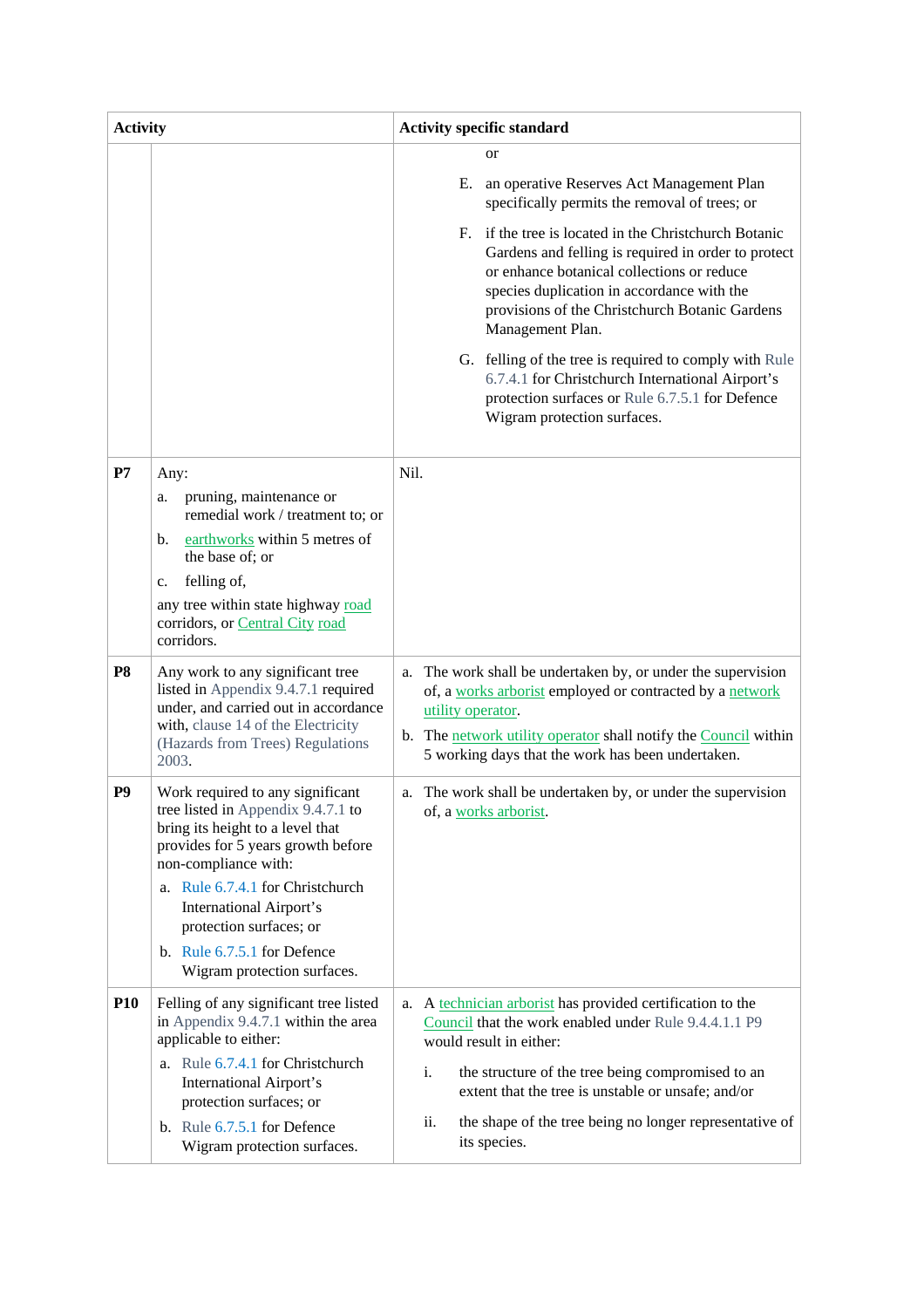| <b>Activity</b> |                                                                                                                                                                                                                                                                                                                                         | <b>Activity specific standard</b>                                                                                                                                                                                                                                                                                                                                                                                                                                                                                                                                                                            |  |  |
|-----------------|-----------------------------------------------------------------------------------------------------------------------------------------------------------------------------------------------------------------------------------------------------------------------------------------------------------------------------------------|--------------------------------------------------------------------------------------------------------------------------------------------------------------------------------------------------------------------------------------------------------------------------------------------------------------------------------------------------------------------------------------------------------------------------------------------------------------------------------------------------------------------------------------------------------------------------------------------------------------|--|--|
|                 |                                                                                                                                                                                                                                                                                                                                         | <b>or</b><br>Е.<br>an operative Reserves Act Management Plan<br>specifically permits the removal of trees; or<br>if the tree is located in the Christchurch Botanic<br>$F_{\rm{L}}$<br>Gardens and felling is required in order to protect<br>or enhance botanical collections or reduce<br>species duplication in accordance with the<br>provisions of the Christchurch Botanic Gardens<br>Management Plan.<br>G. felling of the tree is required to comply with Rule<br>6.7.4.1 for Christchurch International Airport's<br>protection surfaces or Rule 6.7.5.1 for Defence<br>Wigram protection surfaces. |  |  |
| P7              | Any:<br>pruning, maintenance or<br>a.<br>remedial work / treatment to; or<br>earthworks within 5 metres of<br>b.<br>the base of; or<br>felling of,<br>c.<br>any tree within state highway road<br>corridors, or Central City road<br>corridors.                                                                                         | Nil.                                                                                                                                                                                                                                                                                                                                                                                                                                                                                                                                                                                                         |  |  |
| <b>P8</b>       | Any work to any significant tree<br>listed in Appendix 9.4.7.1 required<br>under, and carried out in accordance<br>with, clause 14 of the Electricity<br>(Hazards from Trees) Regulations<br>2003.                                                                                                                                      | The work shall be undertaken by, or under the supervision<br>a.<br>of, a works arborist employed or contracted by a network<br>utility operator.<br>b. The network utility operator shall notify the Council within<br>5 working days that the work has been undertaken.                                                                                                                                                                                                                                                                                                                                     |  |  |
| P <sub>9</sub>  | Work required to any significant<br>tree listed in Appendix 9.4.7.1 to<br>bring its height to a level that<br>provides for 5 years growth before<br>non-compliance with:<br>a. Rule 6.7.4.1 for Christchurch<br><b>International Airport's</b><br>protection surfaces; or<br>b. Rule 6.7.5.1 for Defence<br>Wigram protection surfaces. | a. The work shall be undertaken by, or under the supervision<br>of, a works arborist.                                                                                                                                                                                                                                                                                                                                                                                                                                                                                                                        |  |  |
| <b>P10</b>      | Felling of any significant tree listed<br>in Appendix 9.4.7.1 within the area<br>applicable to either:<br>a. Rule 6.7.4.1 for Christchurch<br><b>International Airport's</b><br>protection surfaces; or<br>b. Rule $6.7.5.1$ for Defence<br>Wigram protection surfaces.                                                                 | a. A technician arborist has provided certification to the<br>Council that the work enabled under Rule 9.4.4.1.1 P9<br>would result in either:<br>i.<br>the structure of the tree being compromised to an<br>extent that the tree is unstable or unsafe; and/or<br>ii.<br>the shape of the tree being no longer representative of<br>its species.                                                                                                                                                                                                                                                            |  |  |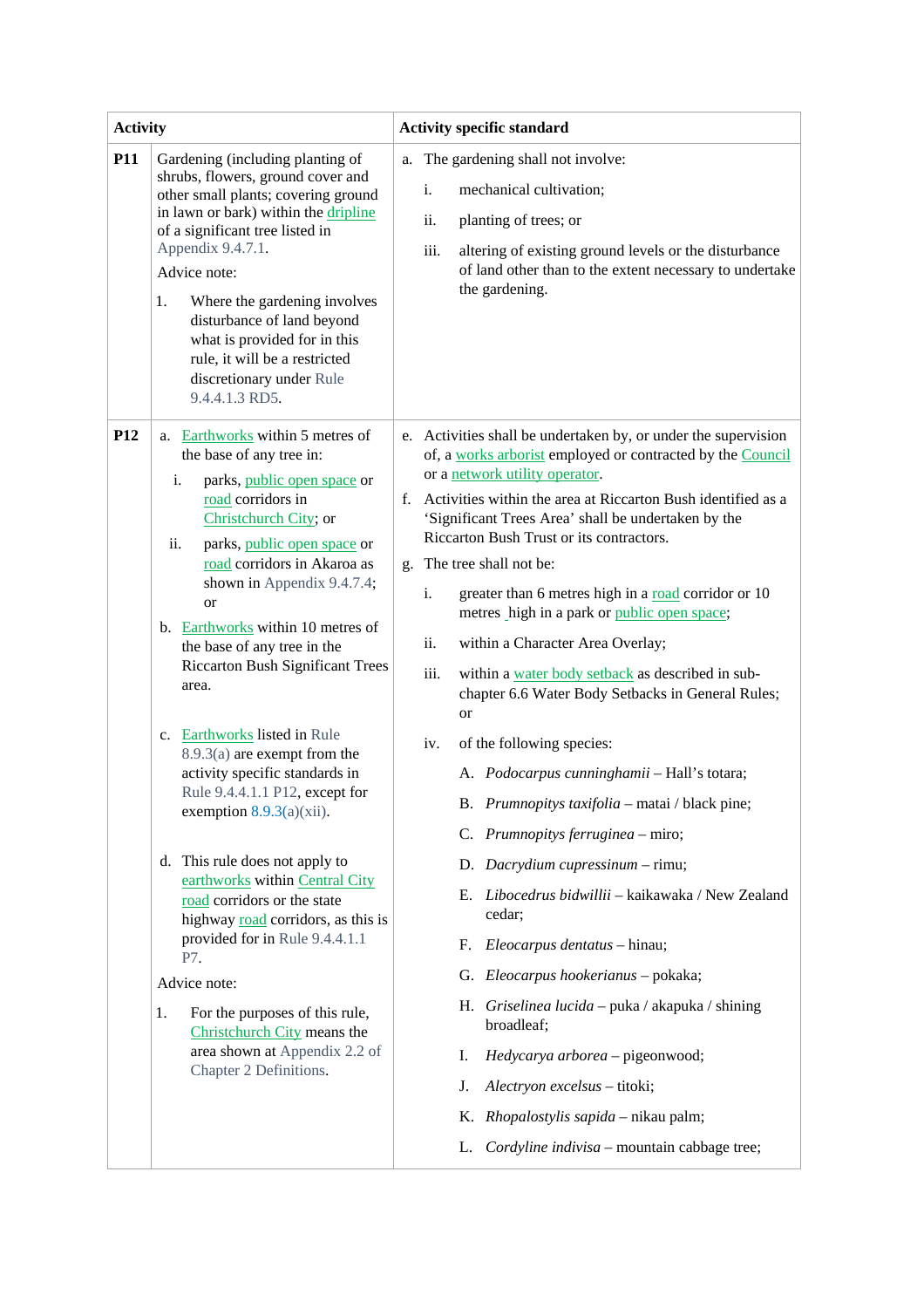| <b>Activity</b> |                                                                                                                                                                                                                                                                                                                                                                                                                                                                                                                                                                                                                                                                                                                                                                                                                                                                                                      | <b>Activity specific standard</b>                                                                                                                                                                                                                                                                                                                                                                                                                                                                                                                                                                                                                                                                                                                                                                                                                                                                                                                                                                                                                                                                                                                                                                                                                             |  |  |
|-----------------|------------------------------------------------------------------------------------------------------------------------------------------------------------------------------------------------------------------------------------------------------------------------------------------------------------------------------------------------------------------------------------------------------------------------------------------------------------------------------------------------------------------------------------------------------------------------------------------------------------------------------------------------------------------------------------------------------------------------------------------------------------------------------------------------------------------------------------------------------------------------------------------------------|---------------------------------------------------------------------------------------------------------------------------------------------------------------------------------------------------------------------------------------------------------------------------------------------------------------------------------------------------------------------------------------------------------------------------------------------------------------------------------------------------------------------------------------------------------------------------------------------------------------------------------------------------------------------------------------------------------------------------------------------------------------------------------------------------------------------------------------------------------------------------------------------------------------------------------------------------------------------------------------------------------------------------------------------------------------------------------------------------------------------------------------------------------------------------------------------------------------------------------------------------------------|--|--|
| <b>P11</b>      | Gardening (including planting of<br>shrubs, flowers, ground cover and<br>other small plants; covering ground<br>in lawn or bark) within the dripline<br>of a significant tree listed in<br>Appendix 9.4.7.1.<br>Advice note:<br>Where the gardening involves<br>1.<br>disturbance of land beyond<br>what is provided for in this<br>rule, it will be a restricted<br>discretionary under Rule<br>9.4.4.1.3 RD5.                                                                                                                                                                                                                                                                                                                                                                                                                                                                                      | a. The gardening shall not involve:<br>$\mathbf{i}$ .<br>mechanical cultivation;<br>ii.<br>planting of trees; or<br>iii.<br>altering of existing ground levels or the disturbance<br>of land other than to the extent necessary to undertake<br>the gardening.                                                                                                                                                                                                                                                                                                                                                                                                                                                                                                                                                                                                                                                                                                                                                                                                                                                                                                                                                                                                |  |  |
| P <sub>12</sub> | a. Earthworks within 5 metres of<br>the base of any tree in:<br>i.<br>parks, public open space or<br>road corridors in<br>Christchurch City; or<br>ii.<br>parks, public open space or<br>road corridors in Akaroa as<br>shown in Appendix 9.4.7.4;<br><sub>or</sub><br>b. Earthworks within 10 metres of<br>the base of any tree in the<br><b>Riccarton Bush Significant Trees</b><br>area.<br>c. Earthworks listed in Rule<br>$8.9.3(a)$ are exempt from the<br>activity specific standards in<br>Rule 9.4.4.1.1 P12, except for<br>exemption $8.9.3(a)(xii)$ .<br>d. This rule does not apply to<br>earthworks within Central City<br>road corridors or the state<br>highway road corridors, as this is<br>provided for in Rule 9.4.4.1.1<br>P7.<br>Advice note:<br>For the purposes of this rule,<br>1.<br>Christchurch City means the<br>area shown at Appendix 2.2 of<br>Chapter 2 Definitions. | e. Activities shall be undertaken by, or under the supervision<br>of, a works arborist employed or contracted by the Council<br>or a network utility operator.<br>Activities within the area at Riccarton Bush identified as a<br>f.<br>'Significant Trees Area' shall be undertaken by the<br>Riccarton Bush Trust or its contractors.<br>g. The tree shall not be:<br>i.<br>greater than 6 metres high in a road corridor or 10<br>metres high in a park or public open space;<br>ii.<br>within a Character Area Overlay;<br>iii.<br>within a water body setback as described in sub-<br>chapter 6.6 Water Body Setbacks in General Rules;<br>or<br>of the following species:<br>iv.<br>A. Podocarpus cunninghamii - Hall's totara;<br>B. Prumnopitys taxifolia - matai / black pine;<br>C. Prumnopitys ferruginea - miro;<br>D. Dacrydium cupressinum - rimu;<br>Libocedrus bidwillii - kaikawaka / New Zealand<br>Е.<br>cedar;<br>Eleocarpus dentatus - hinau;<br>F.<br>G. Eleocarpus hookerianus - pokaka;<br>H. Griselinea lucida - puka / akapuka / shining<br>broadleaf;<br>Hedycarya arborea - pigeonwood;<br>Ι.<br>Alectryon excelsus - titoki;<br>J.<br>K. Rhopalostylis sapida - nikau palm;<br>Cordyline indivisa - mountain cabbage tree;<br>L. |  |  |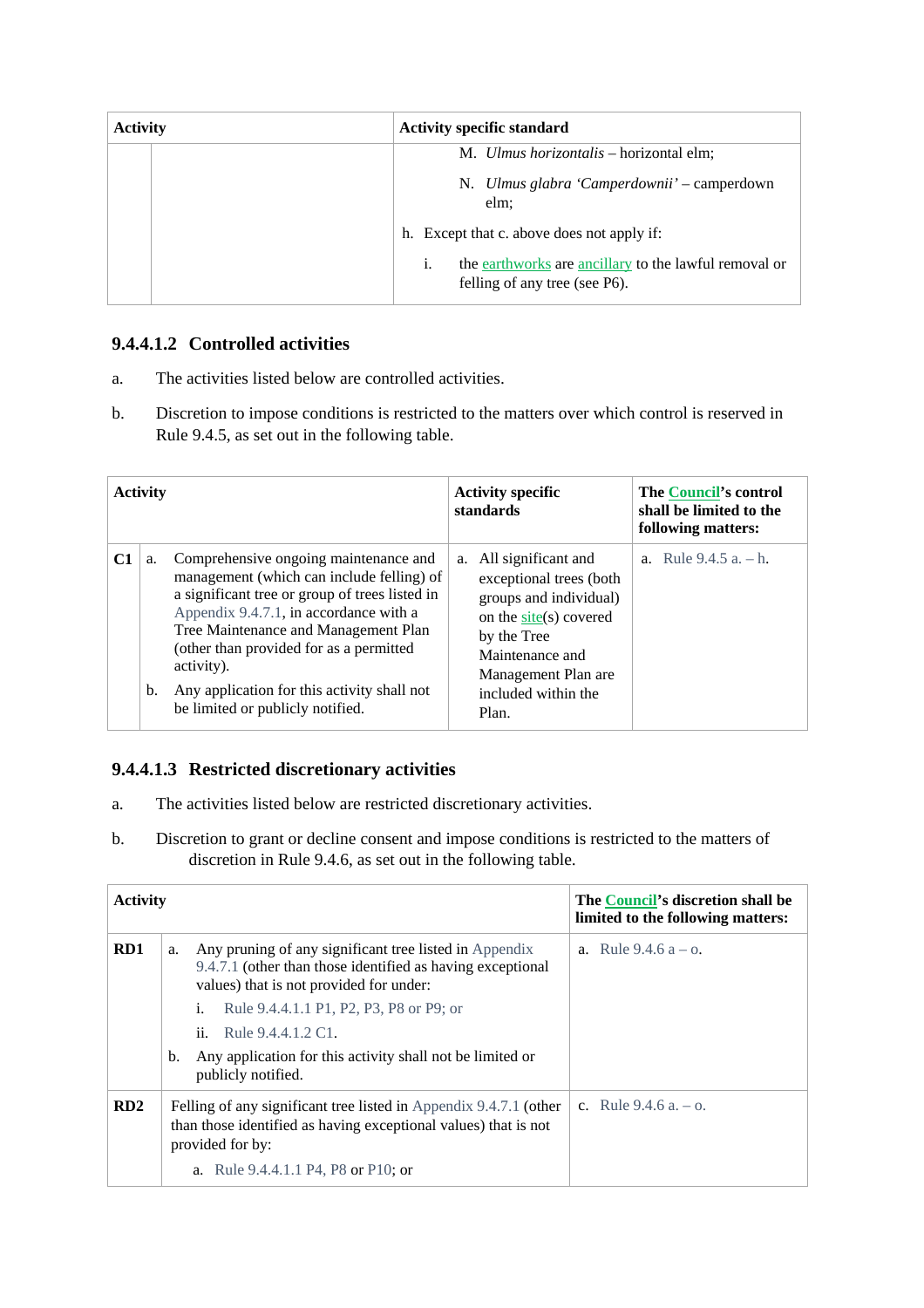| <b>Activity</b> | <b>Activity specific standard</b>                                                            |  |  |
|-----------------|----------------------------------------------------------------------------------------------|--|--|
|                 | M. Ulmus horizontalis - horizontal elm;                                                      |  |  |
|                 | N. Ulmus glabra 'Camperdownii' – camperdown<br>elm;                                          |  |  |
|                 | h. Except that c. above does not apply if:                                                   |  |  |
|                 | i.<br>the earthworks are ancillary to the lawful removal or<br>felling of any tree (see P6). |  |  |

# **9.4.4.1.2 Controlled activities**

- a. The activities listed below are controlled activities.
- b. Discretion to impose conditions is restricted to the matters over which control is reserved in Rule 9.4.5, as set out in the following table.

| <b>Activity</b> |          |                                                                                                                                                                                                                                                                                                                                                                    | <b>Activity specific</b><br>standards                                                                                                                                                          | <b>The Council's control</b><br>shall be limited to the<br>following matters: |
|-----------------|----------|--------------------------------------------------------------------------------------------------------------------------------------------------------------------------------------------------------------------------------------------------------------------------------------------------------------------------------------------------------------------|------------------------------------------------------------------------------------------------------------------------------------------------------------------------------------------------|-------------------------------------------------------------------------------|
| C1              | a.<br>b. | Comprehensive ongoing maintenance and<br>management (which can include felling) of<br>a significant tree or group of trees listed in<br>Appendix 9.4.7.1, in accordance with a<br>Tree Maintenance and Management Plan<br>(other than provided for as a permitted<br>activity).<br>Any application for this activity shall not<br>be limited or publicly notified. | a. All significant and<br>exceptional trees (both<br>groups and individual)<br>on the site(s) covered<br>by the Tree<br>Maintenance and<br>Management Plan are<br>included within the<br>Plan. | a. Rule $9.4.5$ a. $- h$ .                                                    |

# **9.4.4.1.3 Restricted discretionary activities**

- a. The activities listed below are restricted discretionary activities.
- b. Discretion to grant or decline consent and impose conditions is restricted to the matters of discretion in Rule 9.4.6, as set out in the following table.

| <b>Activity</b> |                                                                                                                                                                                                                                                                                                                        | The Council's discretion shall be<br>limited to the following matters: |
|-----------------|------------------------------------------------------------------------------------------------------------------------------------------------------------------------------------------------------------------------------------------------------------------------------------------------------------------------|------------------------------------------------------------------------|
| RD1             | Any pruning of any significant tree listed in Appendix<br>a.<br>9.4.7.1 (other than those identified as having exceptional<br>values) that is not provided for under:<br>Rule 9.4.4.1.1 P1, P2, P3, P8 or P9; or<br>i.<br>Rule 9.4.4.1.2 C1.<br>ii.<br>Any application for this activity shall not be limited or<br>b. | a. Rule $9.4.6 a - 0$ .                                                |
|                 | publicly notified.                                                                                                                                                                                                                                                                                                     |                                                                        |
| RD2             | Felling of any significant tree listed in Appendix 9.4.7.1 (other<br>than those identified as having exceptional values) that is not<br>provided for by:                                                                                                                                                               | c. Rule $9.4.6$ a. $-$ o.                                              |
|                 | a. Rule 9.4.4.1.1 P4, P8 or P10; or                                                                                                                                                                                                                                                                                    |                                                                        |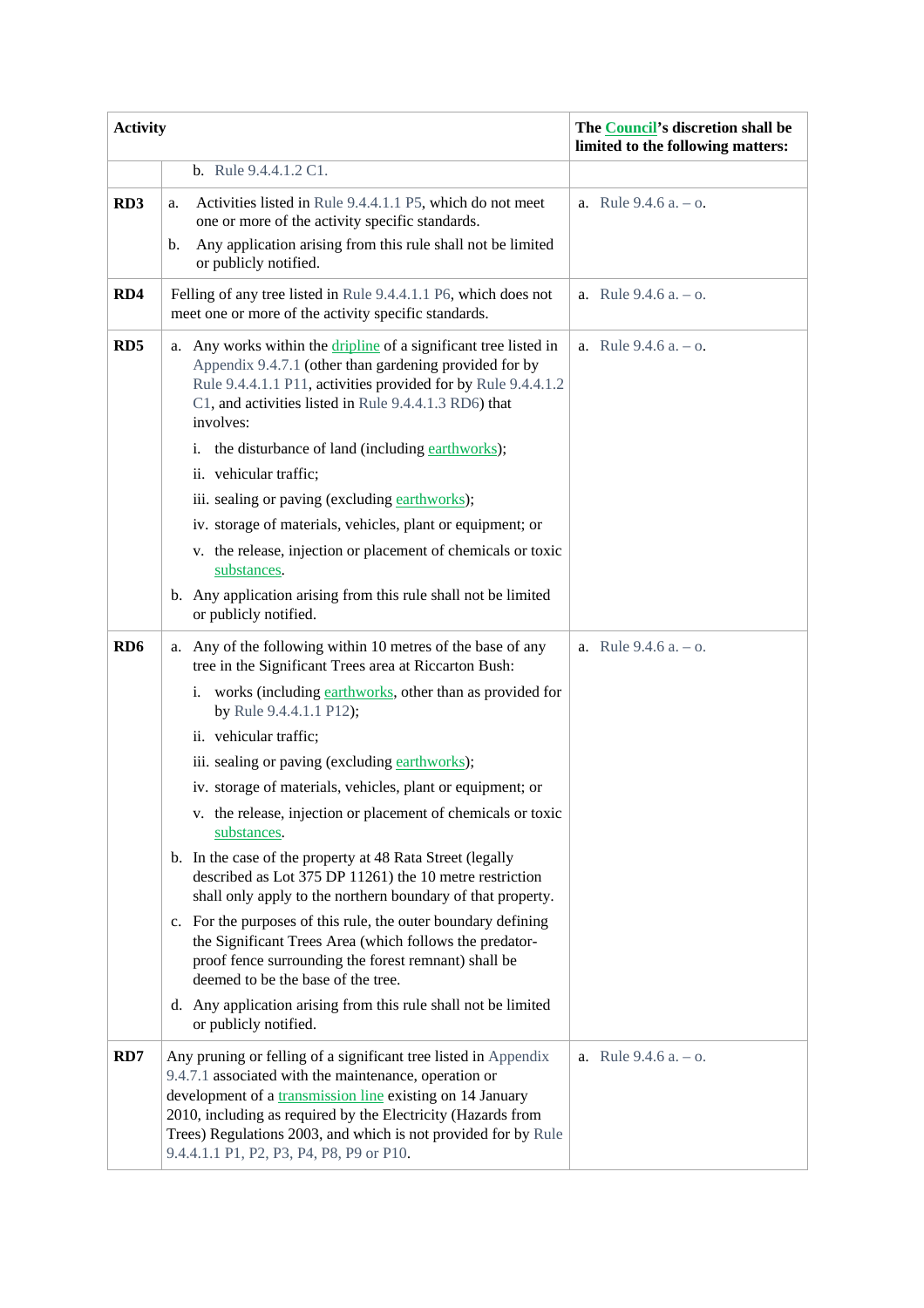| <b>Activity</b>  |                                                                                                                                                                                                                                                                                                                                                                     | The Council's discretion shall be<br>limited to the following matters: |  |
|------------------|---------------------------------------------------------------------------------------------------------------------------------------------------------------------------------------------------------------------------------------------------------------------------------------------------------------------------------------------------------------------|------------------------------------------------------------------------|--|
|                  | <b>b.</b> Rule 9.4.4.1.2 C1.                                                                                                                                                                                                                                                                                                                                        |                                                                        |  |
| RD <sub>3</sub>  | Activities listed in Rule 9.4.4.1.1 P5, which do not meet<br>a.<br>one or more of the activity specific standards.                                                                                                                                                                                                                                                  | a. Rule $9.4.6$ a. $-$ o.                                              |  |
|                  | Any application arising from this rule shall not be limited<br>$\mathbf{b}$ .<br>or publicly notified.                                                                                                                                                                                                                                                              |                                                                        |  |
| RD4              | Felling of any tree listed in Rule 9.4.4.1.1 P6, which does not<br>meet one or more of the activity specific standards.                                                                                                                                                                                                                                             | a. Rule $9.4.6$ a. $-$ o.                                              |  |
| R <sub>D</sub> 5 | Any works within the <i>dripline</i> of a significant tree listed in<br>a.<br>Appendix 9.4.7.1 (other than gardening provided for by<br>Rule 9.4.4.1.1 P11, activities provided for by Rule 9.4.4.1.2<br>C1, and activities listed in Rule 9.4.4.1.3 RD6) that<br>involves:                                                                                         | a. Rule $9.4.6$ a. $-$ o.                                              |  |
|                  | the disturbance of land (including earthworks);<br>i.<br>ii. vehicular traffic;                                                                                                                                                                                                                                                                                     |                                                                        |  |
|                  | iii. sealing or paving (excluding earthworks);                                                                                                                                                                                                                                                                                                                      |                                                                        |  |
|                  | iv. storage of materials, vehicles, plant or equipment; or                                                                                                                                                                                                                                                                                                          |                                                                        |  |
|                  | v. the release, injection or placement of chemicals or toxic<br>substances.                                                                                                                                                                                                                                                                                         |                                                                        |  |
|                  | b. Any application arising from this rule shall not be limited<br>or publicly notified.                                                                                                                                                                                                                                                                             |                                                                        |  |
| RD <sub>6</sub>  | a. Any of the following within 10 metres of the base of any<br>tree in the Significant Trees area at Riccarton Bush:                                                                                                                                                                                                                                                | a. Rule $9.4.6$ a. $-$ o.                                              |  |
|                  | i. works (including earthworks, other than as provided for<br>by Rule 9.4.4.1.1 P12);                                                                                                                                                                                                                                                                               |                                                                        |  |
|                  | ii. vehicular traffic;                                                                                                                                                                                                                                                                                                                                              |                                                                        |  |
|                  | iii. sealing or paving (excluding earthworks);                                                                                                                                                                                                                                                                                                                      |                                                                        |  |
|                  | iv. storage of materials, vehicles, plant or equipment; or                                                                                                                                                                                                                                                                                                          |                                                                        |  |
|                  | v. the release, injection or placement of chemicals or toxic<br>substances.                                                                                                                                                                                                                                                                                         |                                                                        |  |
|                  | b. In the case of the property at 48 Rata Street (legally<br>described as Lot 375 DP 11261) the 10 metre restriction<br>shall only apply to the northern boundary of that property.                                                                                                                                                                                 |                                                                        |  |
|                  | c. For the purposes of this rule, the outer boundary defining<br>the Significant Trees Area (which follows the predator-<br>proof fence surrounding the forest remnant) shall be<br>deemed to be the base of the tree.                                                                                                                                              |                                                                        |  |
|                  | d. Any application arising from this rule shall not be limited<br>or publicly notified.                                                                                                                                                                                                                                                                             |                                                                        |  |
| RD7              | Any pruning or felling of a significant tree listed in Appendix<br>9.4.7.1 associated with the maintenance, operation or<br>development of a transmission line existing on 14 January<br>2010, including as required by the Electricity (Hazards from<br>Trees) Regulations 2003, and which is not provided for by Rule<br>9.4.4.1.1 P1, P2, P3, P4, P8, P9 or P10. | a. Rule $9.4.6$ a. $-$ o.                                              |  |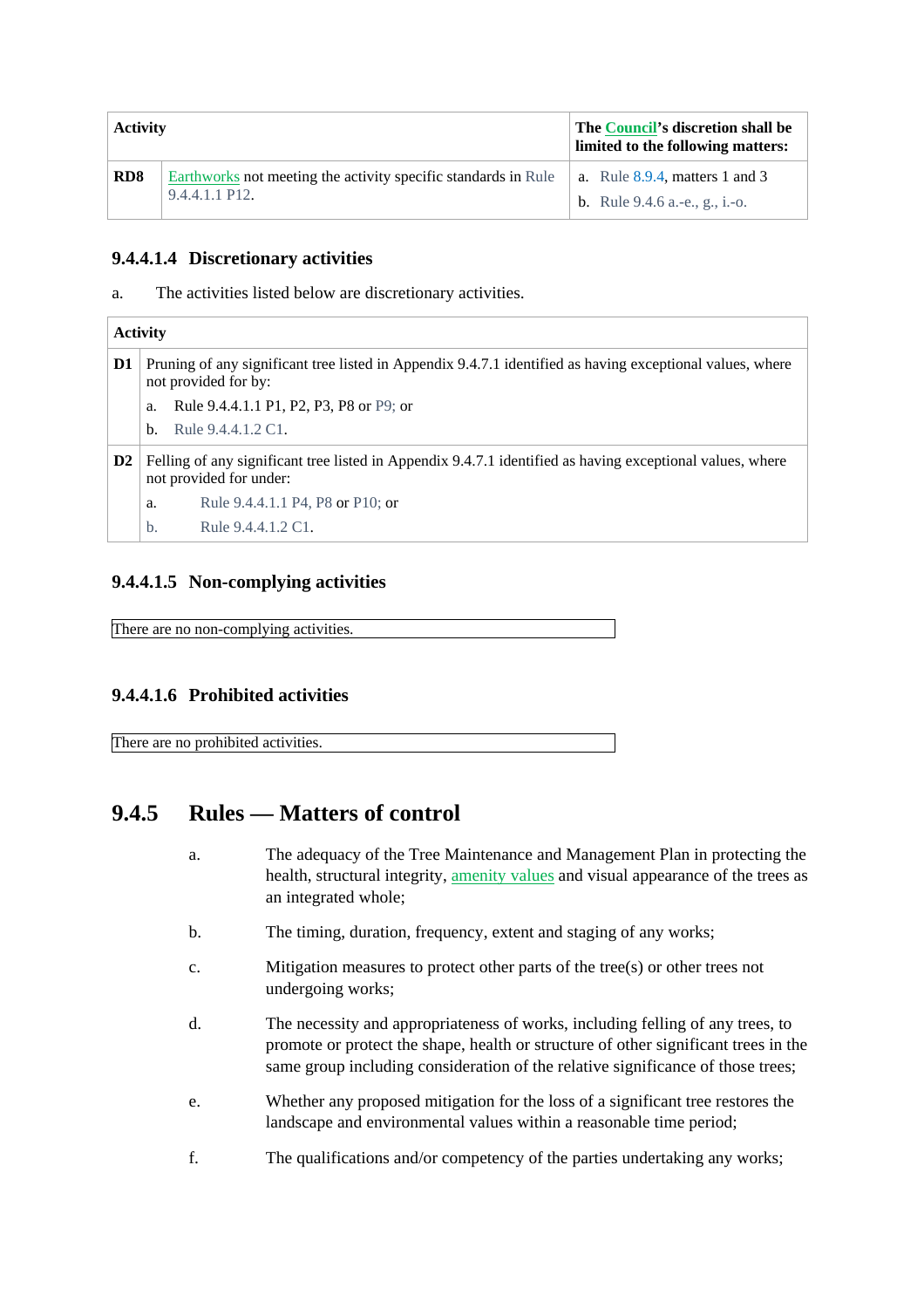| <b>Activity</b>             |                                                                                                 | The Council's discretion shall be<br>limited to the following matters:        |  |
|-----------------------------|-------------------------------------------------------------------------------------------------|-------------------------------------------------------------------------------|--|
| R <sub>D</sub> <sup>8</sup> | Earthworks not meeting the activity specific standards in Rule<br>$9.4.4.1.1$ P <sub>12</sub> . | a. Rule $8.9.4$ , matters 1 and 3<br><b>b.</b> Rule $9.4.6$ a. e., g., i. -0. |  |

# **9.4.4.1.4 Discretionary activities**

a. The activities listed below are discretionary activities.

|                | <b>Activity</b>                                                                                                                      |                                  |  |  |
|----------------|--------------------------------------------------------------------------------------------------------------------------------------|----------------------------------|--|--|
| D1             | Pruning of any significant tree listed in Appendix 9.4.7.1 identified as having exceptional values, where<br>not provided for by:    |                                  |  |  |
|                | Rule 9.4.4.1.1 P1, P2, P3, P8 or P9; or<br>a.                                                                                        |                                  |  |  |
|                | b.                                                                                                                                   | Rule 9.4.4.1.2 C1.               |  |  |
| D <sub>2</sub> | Felling of any significant tree listed in Appendix 9.4.7.1 identified as having exceptional values, where<br>not provided for under: |                                  |  |  |
|                | a.                                                                                                                                   | Rule 9.4.4.1.1 P4, P8 or P10; or |  |  |
|                | b.                                                                                                                                   | Rule 9.4.4.1.2 C1.               |  |  |

# **9.4.4.1.5 Non-complying activities**

There are no non-complying activities.

### **9.4.4.1.6 Prohibited activities**

There are no prohibited activities.

# **9.4.5 Rules — Matters of control**

- a. The adequacy of the Tree Maintenance and Management Plan in protecting the health, structural integrity, amenity values and visual appearance of the trees as an integrated whole;
- b. The timing, duration, frequency, extent and staging of any works;
- c. Mitigation measures to protect other parts of the tree(s) or other trees not undergoing works;
- d. The necessity and appropriateness of works, including felling of any trees, to promote or protect the shape, health or structure of other significant trees in the same group including consideration of the relative significance of those trees;
- e. Whether any proposed mitigation for the loss of a significant tree restores the landscape and environmental values within a reasonable time period;
- f. The qualifications and/or competency of the parties undertaking any works;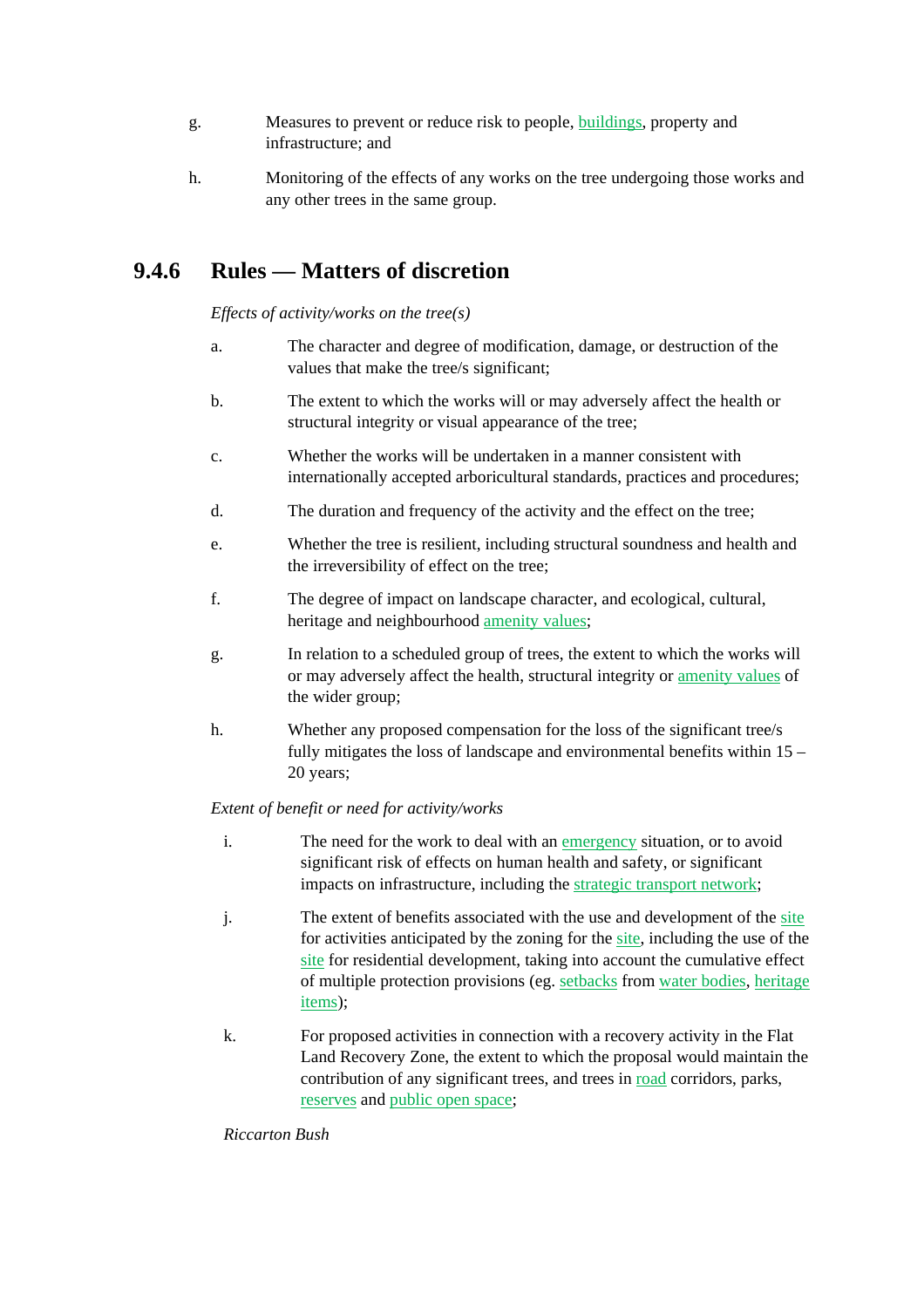- g. Measures to prevent or reduce risk to people, **buildings**, property and infrastructure; and
- h. Monitoring of the effects of any works on the tree undergoing those works and any other trees in the same group.

# **9.4.6 Rules — Matters of discretion**

*Effects of activity/works on the tree(s)* 

- a. The character and degree of modification, damage, or destruction of the values that make the tree/s significant;
- b. The extent to which the works will or may adversely affect the health or structural integrity or visual appearance of the tree;
- c. Whether the works will be undertaken in a manner consistent with internationally accepted arboricultural standards, practices and procedures;
- d. The duration and frequency of the activity and the effect on the tree;
- e. Whether the tree is resilient, including structural soundness and health and the irreversibility of effect on the tree;
- f. The degree of impact on landscape character, and ecological, cultural, heritage and neighbourhood amenity values;
- g. In relation to a scheduled group of trees, the extent to which the works will or may adversely affect the health, structural integrity or amenity values of the wider group;
- h. Whether any proposed compensation for the loss of the significant tree/s fully mitigates the loss of landscape and environmental benefits within 15 – 20 years;

### *Extent of benefit or need for activity/works*

- i. The need for the work to deal with an emergency situation, or to avoid significant risk of effects on human health and safety, or significant impacts on infrastructure, including the strategic transport network;
- j. The extent of benefits associated with the use and development of the site for activities anticipated by the zoning for the site, including the use of the site for residential development, taking into account the cumulative effect of multiple protection provisions (eg. setbacks from water bodies, heritage items);
- k. For proposed activities in connection with a recovery activity in the Flat Land Recovery Zone, the extent to which the proposal would maintain the contribution of any significant trees, and trees in road corridors, parks, reserves and public open space;

*Riccarton Bush*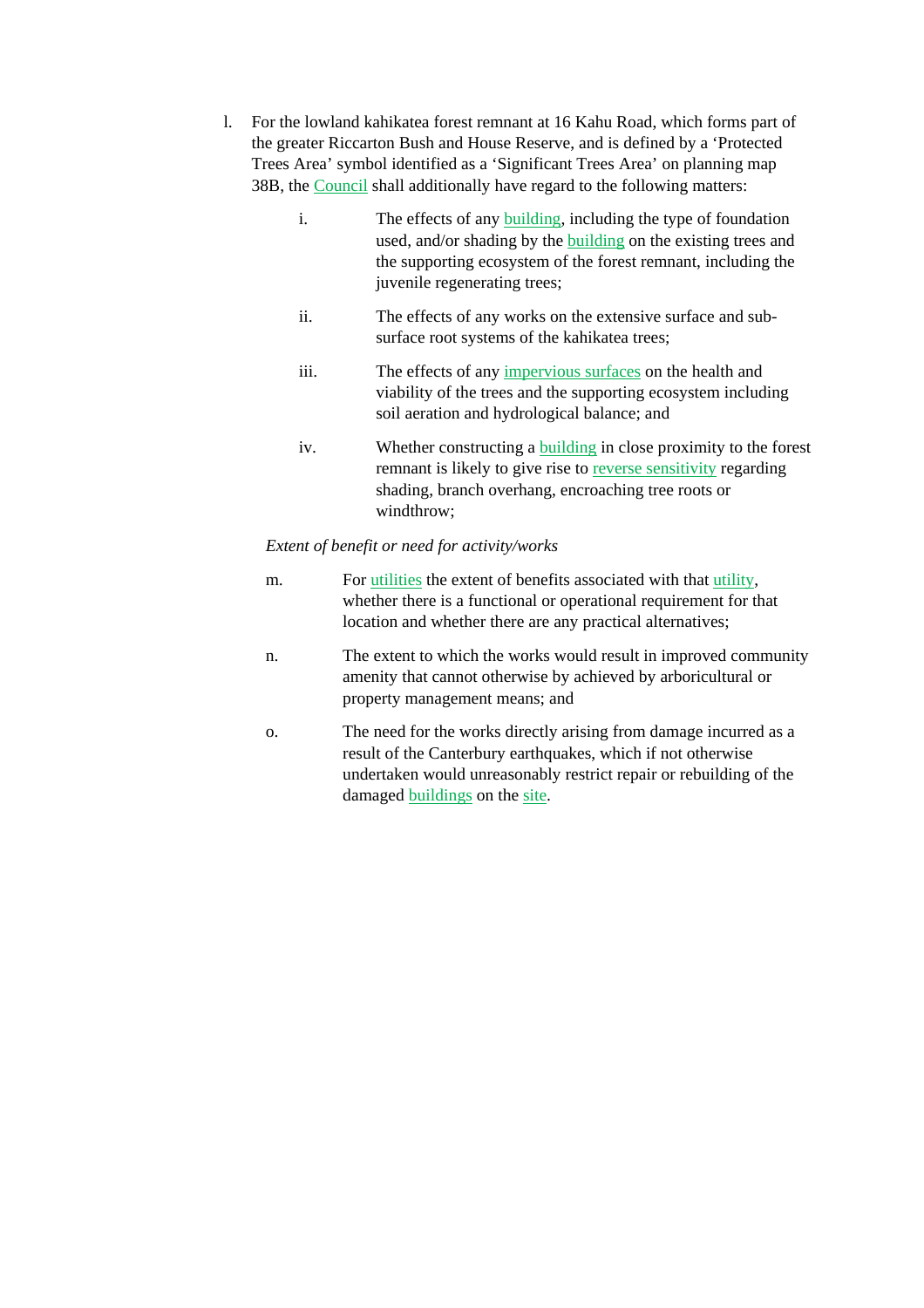- l. For the lowland kahikatea forest remnant at 16 Kahu Road, which forms part of the greater Riccarton Bush and House Reserve, and is defined by a 'Protected Trees Area' symbol identified as a 'Significant Trees Area' on planning map 38B, the Council shall additionally have regard to the following matters:
	- i. The effects of any building, including the type of foundation used, and/or shading by the building on the existing trees and the supporting ecosystem of the forest remnant, including the juvenile regenerating trees;
	- ii. The effects of any works on the extensive surface and subsurface root systems of the kahikatea trees;
	- iii. The effects of any impervious surfaces on the health and viability of the trees and the supporting ecosystem including soil aeration and hydrological balance; and
	- iv. Whether constructing a building in close proximity to the forest remnant is likely to give rise to reverse sensitivity regarding shading, branch overhang, encroaching tree roots or windthrow;

#### *Extent of benefit or need for activity/works*

- m. For utilities the extent of benefits associated with that utility, whether there is a functional or operational requirement for that location and whether there are any practical alternatives;
- n. The extent to which the works would result in improved community amenity that cannot otherwise by achieved by arboricultural or property management means; and
- o. The need for the works directly arising from damage incurred as a result of the Canterbury earthquakes, which if not otherwise undertaken would unreasonably restrict repair or rebuilding of the damaged buildings on the site.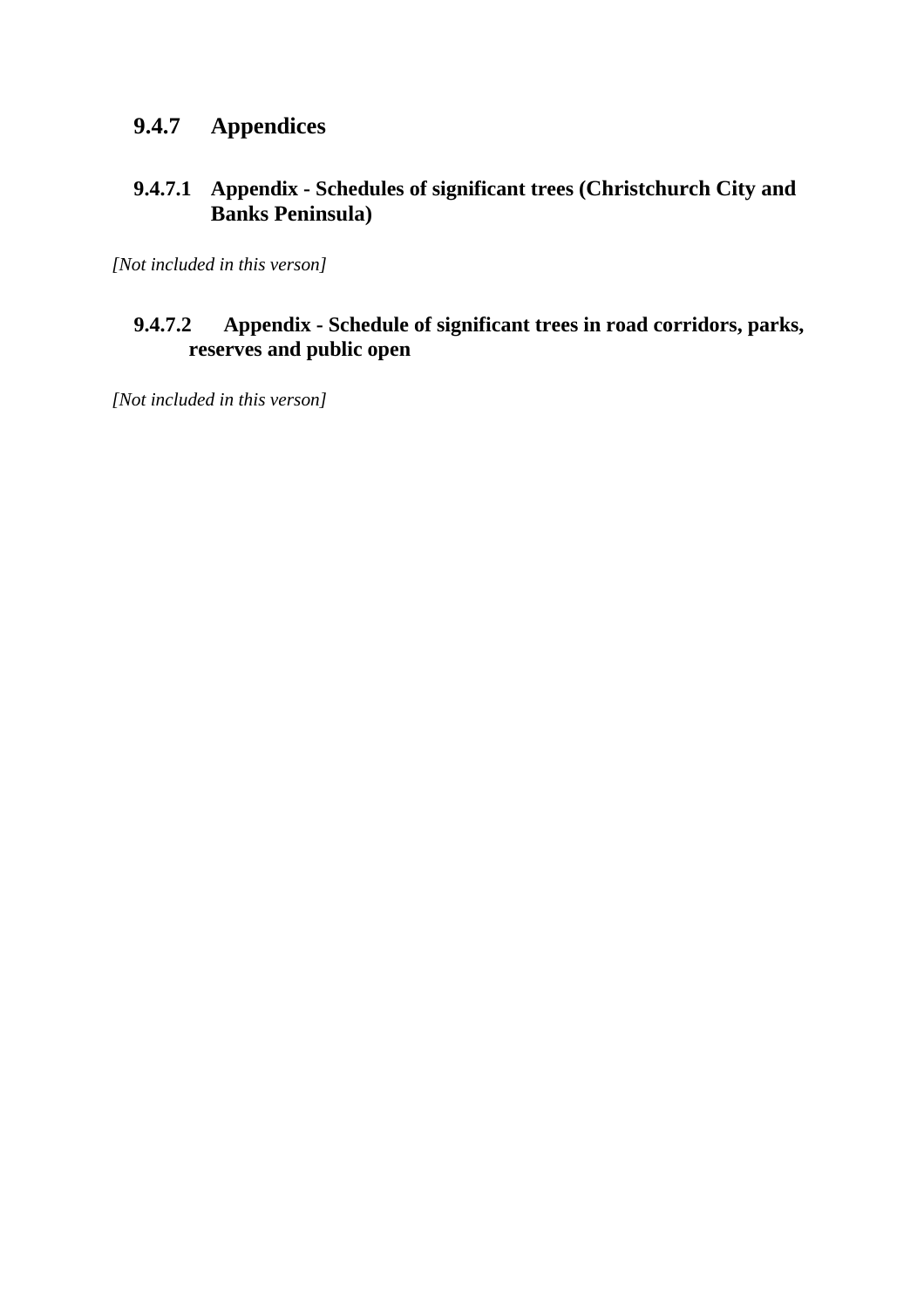# **9.4.7 Appendices**

# **9.4.7.1 Appendix - Schedules of significant trees (Christchurch City and Banks Peninsula)**

*[Not included in this verson]* 

# **9.4.7.2 Appendix - Schedule of significant trees in road corridors, parks, reserves and public open**

*[Not included in this verson]*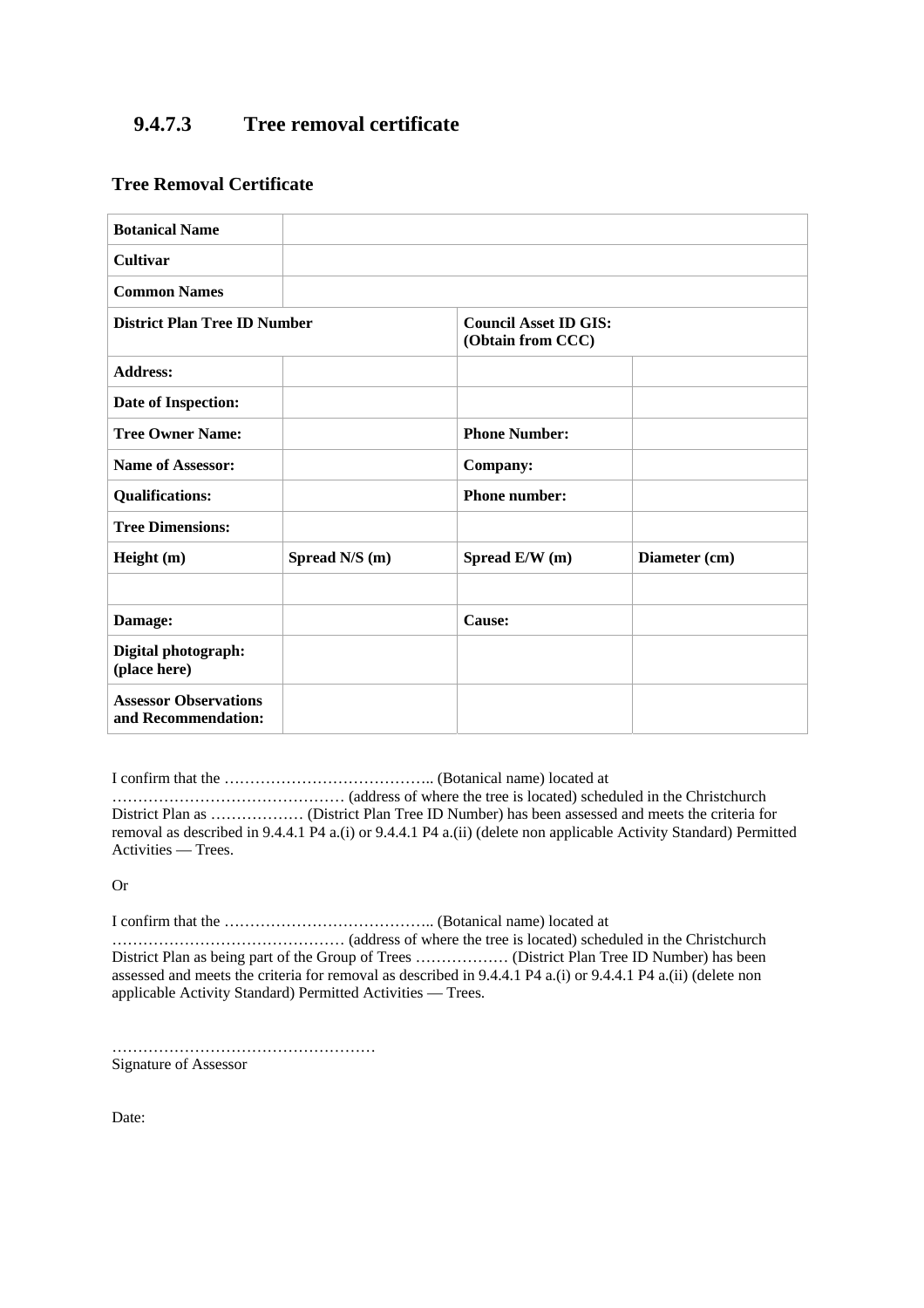# **9.4.7.3 Tree removal certificate**

### **Tree Removal Certificate**

| <b>Botanical Name</b>                               |                                                   |                      |               |
|-----------------------------------------------------|---------------------------------------------------|----------------------|---------------|
| Cultivar                                            |                                                   |                      |               |
| <b>Common Names</b>                                 |                                                   |                      |               |
| <b>District Plan Tree ID Number</b>                 | <b>Council Asset ID GIS:</b><br>(Obtain from CCC) |                      |               |
| <b>Address:</b>                                     |                                                   |                      |               |
| Date of Inspection:                                 |                                                   |                      |               |
| <b>Tree Owner Name:</b>                             |                                                   | <b>Phone Number:</b> |               |
| <b>Name of Assessor:</b>                            |                                                   | Company:             |               |
| <b>Qualifications:</b>                              |                                                   | <b>Phone number:</b> |               |
| <b>Tree Dimensions:</b>                             |                                                   |                      |               |
| Height $(m)$                                        | Spread N/S (m)                                    | Spread E/W (m)       | Diameter (cm) |
|                                                     |                                                   |                      |               |
| Damage:                                             |                                                   | Cause:               |               |
| Digital photograph:<br>(place here)                 |                                                   |                      |               |
| <b>Assessor Observations</b><br>and Recommendation: |                                                   |                      |               |

I confirm that the ………………………………….. (Botanical name) located at

……………………………………… (address of where the tree is located) scheduled in the Christchurch District Plan as ……………… (District Plan Tree ID Number) has been assessed and meets the criteria for removal as described in 9.4.4.1 P4 a.(i) or 9.4.4.1 P4 a.(ii) (delete non applicable Activity Standard) Permitted Activities — Trees.

Or

I confirm that the ………………………………….. (Botanical name) located at

……………………………………… (address of where the tree is located) scheduled in the Christchurch District Plan as being part of the Group of Trees ……………… (District Plan Tree ID Number) has been assessed and meets the criteria for removal as described in 9.4.4.1 P4 a.(i) or 9.4.4.1 P4 a.(ii) (delete non applicable Activity Standard) Permitted Activities — Trees.

…………………………………………… Signature of Assessor

Date: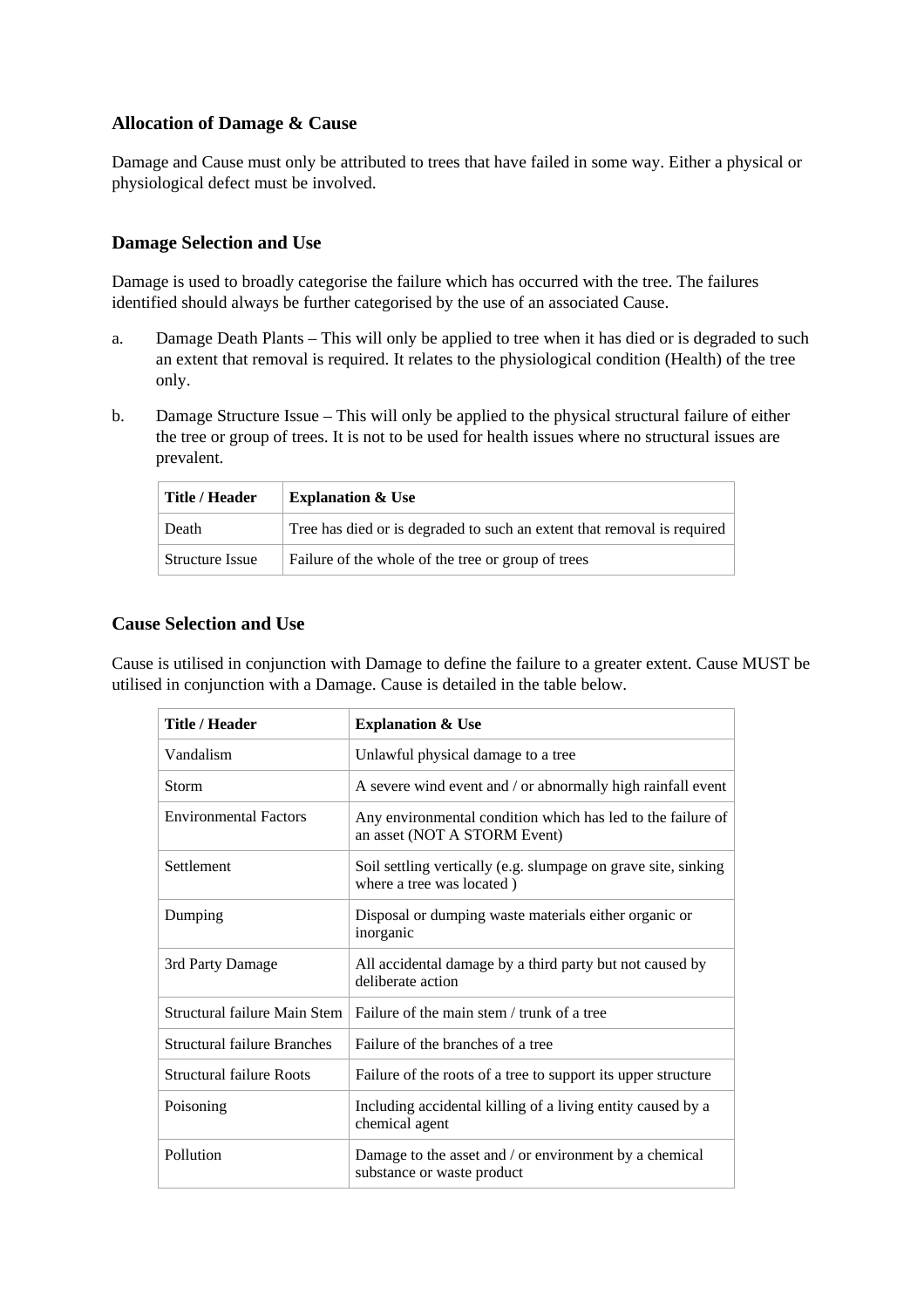# **Allocation of Damage & Cause**

Damage and Cause must only be attributed to trees that have failed in some way. Either a physical or physiological defect must be involved.

### **Damage Selection and Use**

Damage is used to broadly categorise the failure which has occurred with the tree. The failures identified should always be further categorised by the use of an associated Cause.

- a. Damage Death Plants This will only be applied to tree when it has died or is degraded to such an extent that removal is required. It relates to the physiological condition (Health) of the tree only.
- b. Damage Structure Issue This will only be applied to the physical structural failure of either the tree or group of trees. It is not to be used for health issues where no structural issues are prevalent.

| Title / Header         | <b>Explanation &amp; Use</b>                                            |
|------------------------|-------------------------------------------------------------------------|
| Death                  | Tree has died or is degraded to such an extent that removal is required |
| <b>Structure Issue</b> | Failure of the whole of the tree or group of trees                      |

### **Cause Selection and Use**

Cause is utilised in conjunction with Damage to define the failure to a greater extent. Cause MUST be utilised in conjunction with a Damage. Cause is detailed in the table below.

| <b>Title / Header</b>              | <b>Explanation &amp; Use</b>                                                                |
|------------------------------------|---------------------------------------------------------------------------------------------|
| Vandalism                          | Unlawful physical damage to a tree                                                          |
| <b>Storm</b>                       | A severe wind event and / or abnormally high rainfall event                                 |
| <b>Environmental Factors</b>       | Any environmental condition which has led to the failure of<br>an asset (NOT A STORM Event) |
| Settlement                         | Soil settling vertically (e.g. slumpage on grave site, sinking<br>where a tree was located) |
| Dumping                            | Disposal or dumping waste materials either organic or<br>inorganic                          |
| 3rd Party Damage                   | All accidental damage by a third party but not caused by<br>deliberate action               |
| Structural failure Main Stem       | Failure of the main stem / trunk of a tree                                                  |
| <b>Structural failure Branches</b> | Failure of the branches of a tree                                                           |
| <b>Structural failure Roots</b>    | Failure of the roots of a tree to support its upper structure                               |
| Poisoning                          | Including accidental killing of a living entity caused by a<br>chemical agent               |
| Pollution                          | Damage to the asset and / or environment by a chemical<br>substance or waste product        |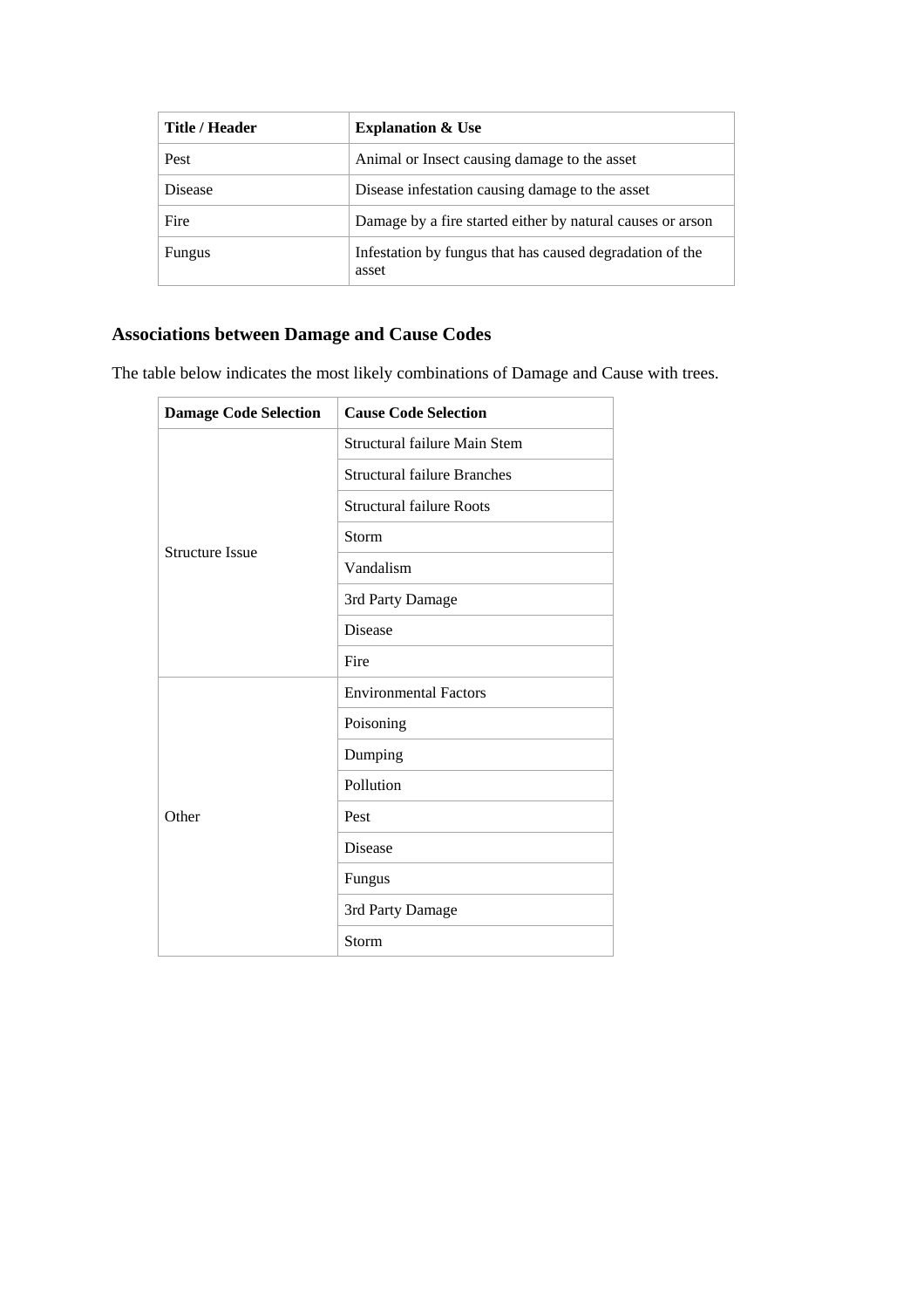| Title / Header | <b>Explanation &amp; Use</b>                                      |
|----------------|-------------------------------------------------------------------|
| Pest           | Animal or Insect causing damage to the asset                      |
| <b>Disease</b> | Disease infestation causing damage to the asset                   |
| Fire           | Damage by a fire started either by natural causes or arson        |
| Fungus         | Infestation by fungus that has caused degradation of the<br>asset |

# **Associations between Damage and Cause Codes**

The table below indicates the most likely combinations of Damage and Cause with trees.

| <b>Damage Code Selection</b> | <b>Cause Code Selection</b>        |
|------------------------------|------------------------------------|
|                              | Structural failure Main Stem       |
|                              | <b>Structural failure Branches</b> |
|                              | <b>Structural failure Roots</b>    |
| <b>Structure Issue</b>       | Storm                              |
|                              | Vandalism                          |
|                              | 3rd Party Damage                   |
|                              | <b>Disease</b>                     |
|                              | Fire                               |
|                              | <b>Environmental Factors</b>       |
|                              | Poisoning                          |
|                              | Dumping                            |
|                              | Pollution                          |
| Other                        | Pest                               |
|                              | Disease                            |
|                              | Fungus                             |
|                              | 3rd Party Damage                   |
|                              | Storm                              |